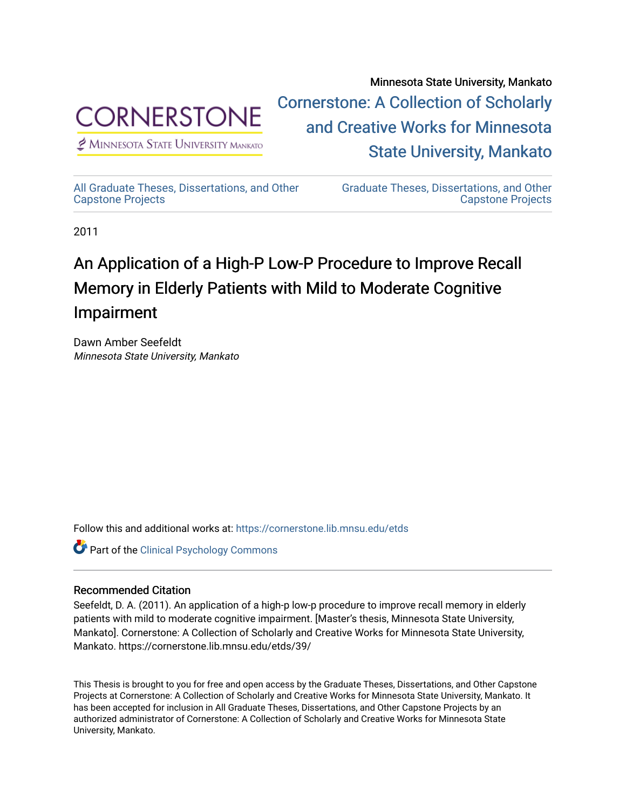

 $<sup>2</sup>$  Minnesota State University Mankato</sup>

Minnesota State University, Mankato [Cornerstone: A Collection of Scholarly](https://cornerstone.lib.mnsu.edu/)  [and Creative Works for Minnesota](https://cornerstone.lib.mnsu.edu/)  [State University, Mankato](https://cornerstone.lib.mnsu.edu/) 

[All Graduate Theses, Dissertations, and Other](https://cornerstone.lib.mnsu.edu/etds) 

[Graduate Theses, Dissertations, and Other](https://cornerstone.lib.mnsu.edu/theses_dissertations-capstone)  [Capstone Projects](https://cornerstone.lib.mnsu.edu/theses_dissertations-capstone) 

2011

[Capstone Projects](https://cornerstone.lib.mnsu.edu/etds) 

# An Application of a High-P Low-P Procedure to Improve Recall Memory in Elderly Patients with Mild to Moderate Cognitive Impairment

Dawn Amber Seefeldt Minnesota State University, Mankato

Follow this and additional works at: [https://cornerstone.lib.mnsu.edu/etds](https://cornerstone.lib.mnsu.edu/etds?utm_source=cornerstone.lib.mnsu.edu%2Fetds%2F39&utm_medium=PDF&utm_campaign=PDFCoverPages) 

Part of the [Clinical Psychology Commons](http://network.bepress.com/hgg/discipline/406?utm_source=cornerstone.lib.mnsu.edu%2Fetds%2F39&utm_medium=PDF&utm_campaign=PDFCoverPages) 

#### Recommended Citation

Seefeldt, D. A. (2011). An application of a high-p low-p procedure to improve recall memory in elderly patients with mild to moderate cognitive impairment. [Master's thesis, Minnesota State University, Mankato]. Cornerstone: A Collection of Scholarly and Creative Works for Minnesota State University, Mankato. https://cornerstone.lib.mnsu.edu/etds/39/

This Thesis is brought to you for free and open access by the Graduate Theses, Dissertations, and Other Capstone Projects at Cornerstone: A Collection of Scholarly and Creative Works for Minnesota State University, Mankato. It has been accepted for inclusion in All Graduate Theses, Dissertations, and Other Capstone Projects by an authorized administrator of Cornerstone: A Collection of Scholarly and Creative Works for Minnesota State University, Mankato.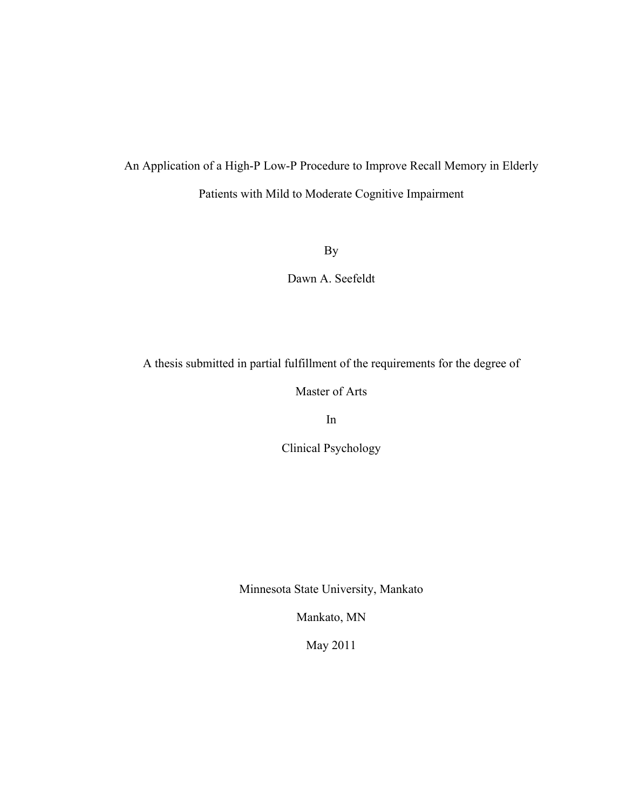# An Application of a High-P Low-P Procedure to Improve Recall Memory in Elderly Patients with Mild to Moderate Cognitive Impairment

By

Dawn A. Seefeldt

A thesis submitted in partial fulfillment of the requirements for the degree of

Master of Arts

In

Clinical Psychology

Minnesota State University, Mankato

Mankato, MN

May 2011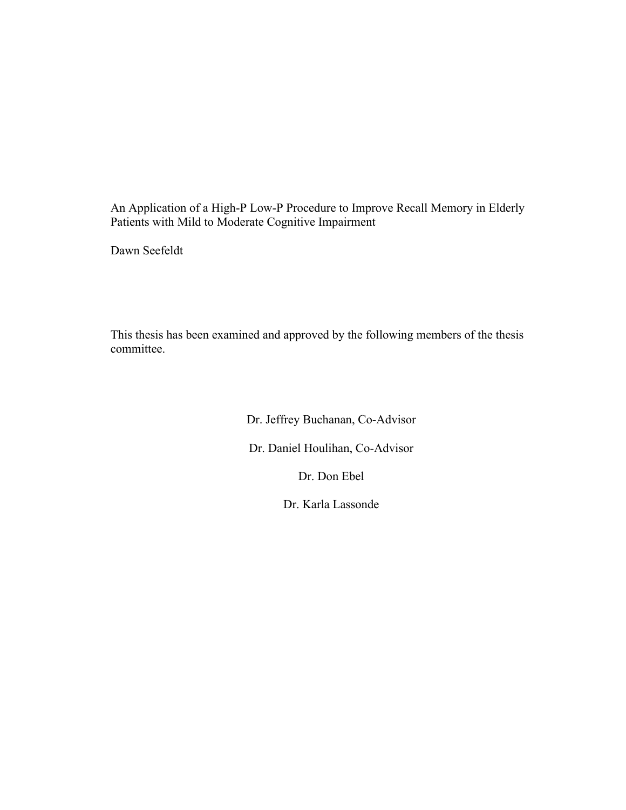An Application of a High-P Low-P Procedure to Improve Recall Memory in Elderly Patients with Mild to Moderate Cognitive Impairment

Dawn Seefeldt

This thesis has been examined and approved by the following members of the thesis committee.

> Dr. Jeffrey Buchanan, Co-Advisor Dr. Daniel Houlihan, Co-Advisor Dr. Don Ebel

> > Dr. Karla Lassonde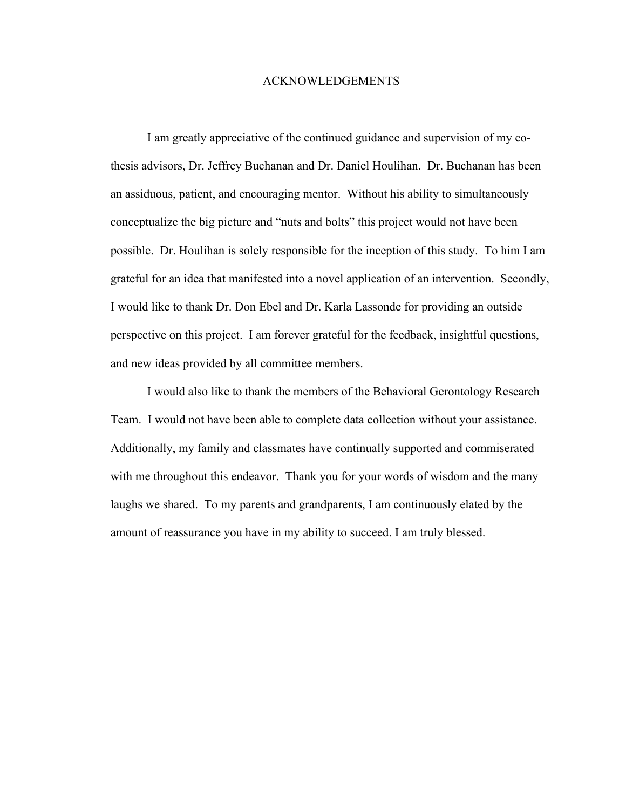#### ACKNOWLEDGEMENTS

I am greatly appreciative of the continued guidance and supervision of my cothesis advisors, Dr. Jeffrey Buchanan and Dr. Daniel Houlihan. Dr. Buchanan has been an assiduous, patient, and encouraging mentor. Without his ability to simultaneously conceptualize the big picture and "nuts and bolts" this project would not have been possible. Dr. Houlihan is solely responsible for the inception of this study. To him I am grateful for an idea that manifested into a novel application of an intervention. Secondly, I would like to thank Dr. Don Ebel and Dr. Karla Lassonde for providing an outside perspective on this project. I am forever grateful for the feedback, insightful questions, and new ideas provided by all committee members.

I would also like to thank the members of the Behavioral Gerontology Research Team. I would not have been able to complete data collection without your assistance. Additionally, my family and classmates have continually supported and commiserated with me throughout this endeavor. Thank you for your words of wisdom and the many laughs we shared. To my parents and grandparents, I am continuously elated by the amount of reassurance you have in my ability to succeed. I am truly blessed.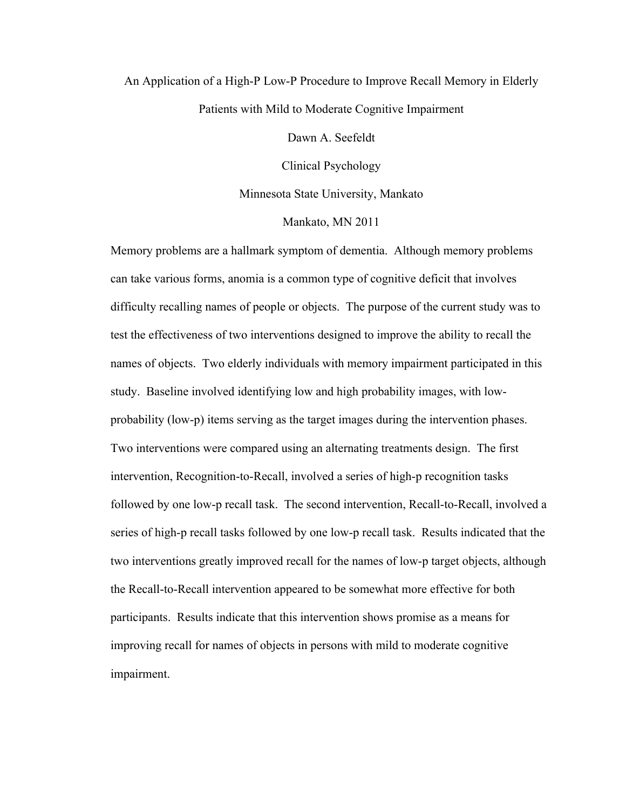# An Application of a High-P Low-P Procedure to Improve Recall Memory in Elderly Patients with Mild to Moderate Cognitive Impairment

Dawn A. Seefeldt

Clinical Psychology

Minnesota State University, Mankato

#### Mankato, MN 2011

Memory problems are a hallmark symptom of dementia. Although memory problems can take various forms, anomia is a common type of cognitive deficit that involves difficulty recalling names of people or objects. The purpose of the current study was to test the effectiveness of two interventions designed to improve the ability to recall the names of objects. Two elderly individuals with memory impairment participated in this study. Baseline involved identifying low and high probability images, with lowprobability (low-p) items serving as the target images during the intervention phases. Two interventions were compared using an alternating treatments design. The first intervention, Recognition-to-Recall, involved a series of high-p recognition tasks followed by one low-p recall task. The second intervention, Recall-to-Recall, involved a series of high-p recall tasks followed by one low-p recall task. Results indicated that the two interventions greatly improved recall for the names of low-p target objects, although the Recall-to-Recall intervention appeared to be somewhat more effective for both participants. Results indicate that this intervention shows promise as a means for improving recall for names of objects in persons with mild to moderate cognitive impairment.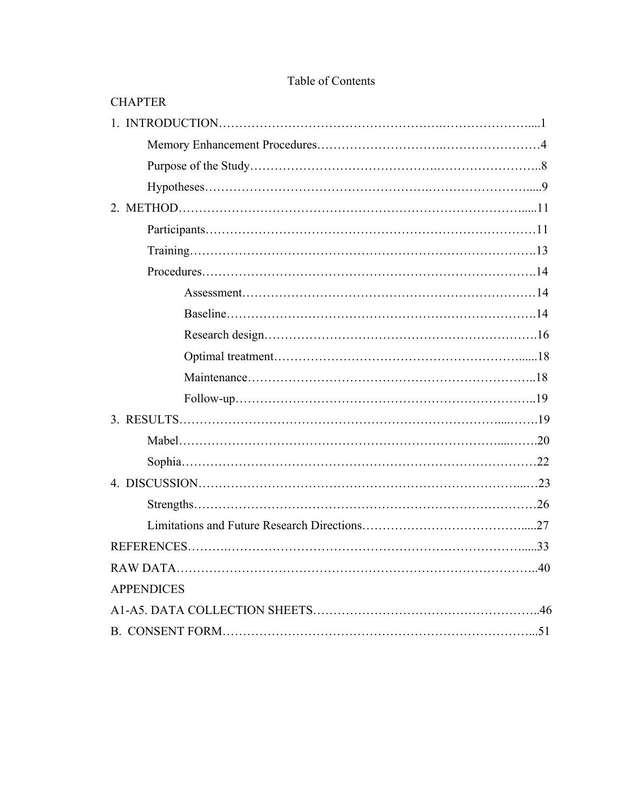| <b>CHAPTER</b>    |
|-------------------|
|                   |
|                   |
|                   |
|                   |
|                   |
|                   |
|                   |
|                   |
|                   |
|                   |
|                   |
|                   |
|                   |
|                   |
|                   |
|                   |
|                   |
|                   |
|                   |
|                   |
|                   |
|                   |
| <b>APPENDICES</b> |
|                   |
|                   |

### Table of Contents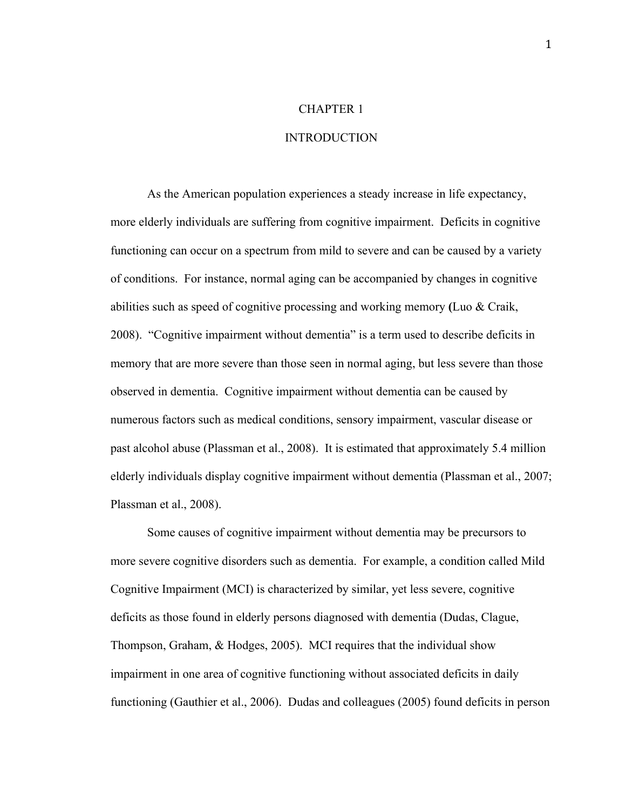### CHAPTER 1

#### INTRODUCTION

As the American population experiences a steady increase in life expectancy, more elderly individuals are suffering from cognitive impairment. Deficits in cognitive functioning can occur on a spectrum from mild to severe and can be caused by a variety of conditions. For instance, normal aging can be accompanied by changes in cognitive abilities such as speed of cognitive processing and working memory **(**Luo & Craik, 2008). "Cognitive impairment without dementia" is a term used to describe deficits in memory that are more severe than those seen in normal aging, but less severe than those observed in dementia. Cognitive impairment without dementia can be caused by numerous factors such as medical conditions, sensory impairment, vascular disease or past alcohol abuse (Plassman et al., 2008). It is estimated that approximately 5.4 million elderly individuals display cognitive impairment without dementia (Plassman et al., 2007; Plassman et al., 2008).

Some causes of cognitive impairment without dementia may be precursors to more severe cognitive disorders such as dementia. For example, a condition called Mild Cognitive Impairment (MCI) is characterized by similar, yet less severe, cognitive deficits as those found in elderly persons diagnosed with dementia (Dudas, Clague, Thompson, Graham, & Hodges, 2005). MCI requires that the individual show impairment in one area of cognitive functioning without associated deficits in daily functioning (Gauthier et al., 2006). Dudas and colleagues (2005) found deficits in person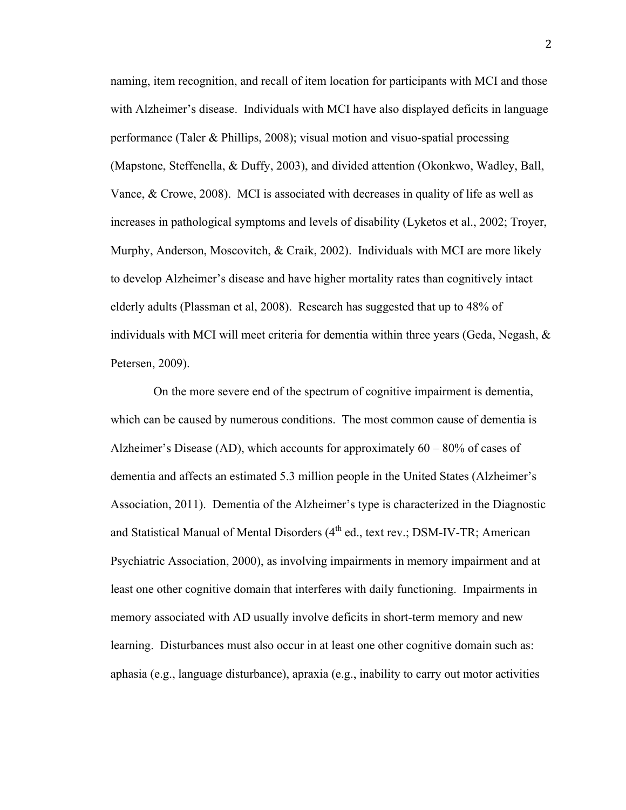naming, item recognition, and recall of item location for participants with MCI and those with Alzheimer's disease. Individuals with MCI have also displayed deficits in language performance (Taler & Phillips, 2008); visual motion and visuo-spatial processing (Mapstone, Steffenella, & Duffy, 2003), and divided attention (Okonkwo, Wadley, Ball, Vance, & Crowe, 2008). MCI is associated with decreases in quality of life as well as increases in pathological symptoms and levels of disability (Lyketos et al., 2002; Troyer, Murphy, Anderson, Moscovitch, & Craik, 2002). Individuals with MCI are more likely to develop Alzheimer's disease and have higher mortality rates than cognitively intact elderly adults (Plassman et al, 2008). Research has suggested that up to 48% of individuals with MCI will meet criteria for dementia within three years (Geda, Negash,  $\&$ Petersen, 2009).

 On the more severe end of the spectrum of cognitive impairment is dementia, which can be caused by numerous conditions. The most common cause of dementia is Alzheimer's Disease (AD), which accounts for approximately 60 – 80% of cases of dementia and affects an estimated 5.3 million people in the United States (Alzheimer's Association, 2011). Dementia of the Alzheimer's type is characterized in the Diagnostic and Statistical Manual of Mental Disorders (4<sup>th</sup> ed., text rev.; DSM-IV-TR; American Psychiatric Association, 2000), as involving impairments in memory impairment and at least one other cognitive domain that interferes with daily functioning. Impairments in memory associated with AD usually involve deficits in short-term memory and new learning. Disturbances must also occur in at least one other cognitive domain such as: aphasia (e.g., language disturbance), apraxia (e.g., inability to carry out motor activities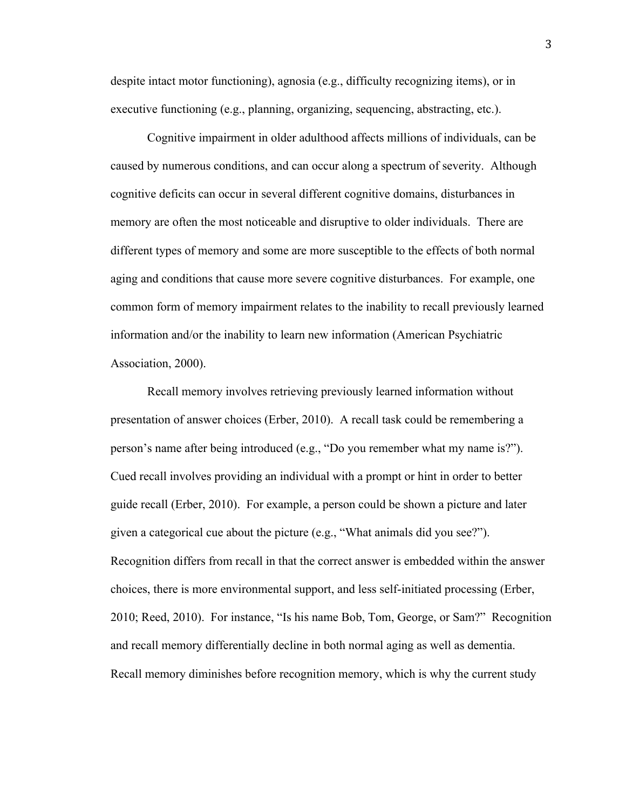despite intact motor functioning), agnosia (e.g., difficulty recognizing items), or in executive functioning (e.g., planning, organizing, sequencing, abstracting, etc.).

Cognitive impairment in older adulthood affects millions of individuals, can be caused by numerous conditions, and can occur along a spectrum of severity. Although cognitive deficits can occur in several different cognitive domains, disturbances in memory are often the most noticeable and disruptive to older individuals. There are different types of memory and some are more susceptible to the effects of both normal aging and conditions that cause more severe cognitive disturbances. For example, one common form of memory impairment relates to the inability to recall previously learned information and/or the inability to learn new information (American Psychiatric Association, 2000).

Recall memory involves retrieving previously learned information without presentation of answer choices (Erber, 2010). A recall task could be remembering a person's name after being introduced (e.g., "Do you remember what my name is?"). Cued recall involves providing an individual with a prompt or hint in order to better guide recall (Erber, 2010). For example, a person could be shown a picture and later given a categorical cue about the picture (e.g., "What animals did you see?"). Recognition differs from recall in that the correct answer is embedded within the answer choices, there is more environmental support, and less self-initiated processing (Erber, 2010; Reed, 2010). For instance, "Is his name Bob, Tom, George, or Sam?" Recognition and recall memory differentially decline in both normal aging as well as dementia. Recall memory diminishes before recognition memory, which is why the current study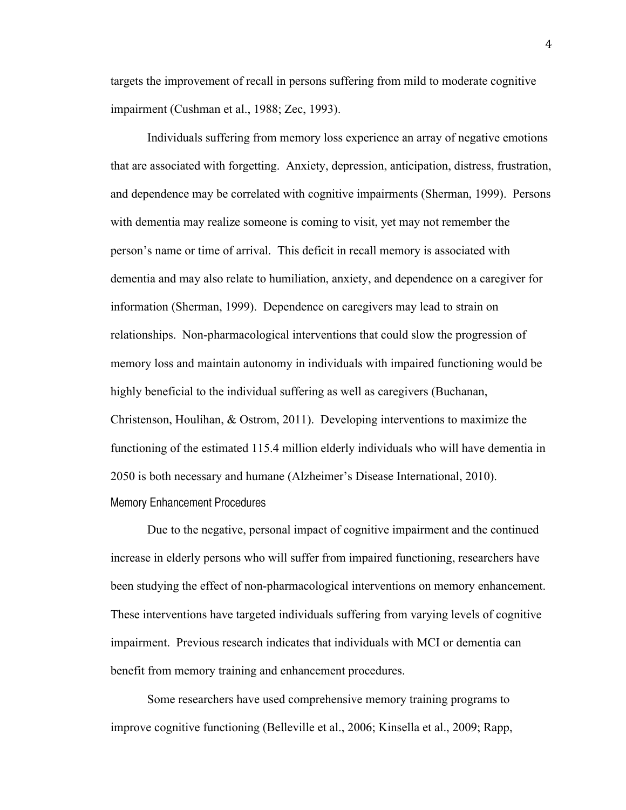targets the improvement of recall in persons suffering from mild to moderate cognitive impairment (Cushman et al., 1988; Zec, 1993).

Individuals suffering from memory loss experience an array of negative emotions that are associated with forgetting. Anxiety, depression, anticipation, distress, frustration, and dependence may be correlated with cognitive impairments (Sherman, 1999). Persons with dementia may realize someone is coming to visit, yet may not remember the person's name or time of arrival. This deficit in recall memory is associated with dementia and may also relate to humiliation, anxiety, and dependence on a caregiver for information (Sherman, 1999). Dependence on caregivers may lead to strain on relationships. Non-pharmacological interventions that could slow the progression of memory loss and maintain autonomy in individuals with impaired functioning would be highly beneficial to the individual suffering as well as caregivers (Buchanan, Christenson, Houlihan, & Ostrom, 2011). Developing interventions to maximize the functioning of the estimated 115.4 million elderly individuals who will have dementia in 2050 is both necessary and humane (Alzheimer's Disease International, 2010). Memory Enhancement Procedures

Due to the negative, personal impact of cognitive impairment and the continued increase in elderly persons who will suffer from impaired functioning, researchers have been studying the effect of non-pharmacological interventions on memory enhancement. These interventions have targeted individuals suffering from varying levels of cognitive impairment. Previous research indicates that individuals with MCI or dementia can benefit from memory training and enhancement procedures.

Some researchers have used comprehensive memory training programs to improve cognitive functioning (Belleville et al., 2006; Kinsella et al., 2009; Rapp,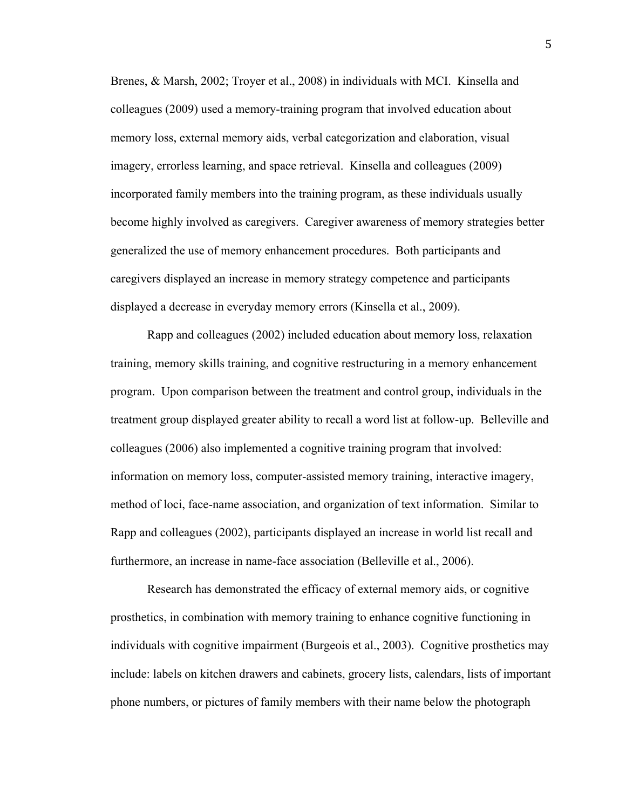Brenes, & Marsh, 2002; Troyer et al., 2008) in individuals with MCI. Kinsella and colleagues (2009) used a memory-training program that involved education about memory loss, external memory aids, verbal categorization and elaboration, visual imagery, errorless learning, and space retrieval. Kinsella and colleagues (2009) incorporated family members into the training program, as these individuals usually become highly involved as caregivers. Caregiver awareness of memory strategies better generalized the use of memory enhancement procedures. Both participants and caregivers displayed an increase in memory strategy competence and participants displayed a decrease in everyday memory errors (Kinsella et al., 2009).

Rapp and colleagues (2002) included education about memory loss, relaxation training, memory skills training, and cognitive restructuring in a memory enhancement program. Upon comparison between the treatment and control group, individuals in the treatment group displayed greater ability to recall a word list at follow-up. Belleville and colleagues (2006) also implemented a cognitive training program that involved: information on memory loss, computer-assisted memory training, interactive imagery, method of loci, face-name association, and organization of text information. Similar to Rapp and colleagues (2002), participants displayed an increase in world list recall and furthermore, an increase in name-face association (Belleville et al., 2006).

Research has demonstrated the efficacy of external memory aids, or cognitive prosthetics, in combination with memory training to enhance cognitive functioning in individuals with cognitive impairment (Burgeois et al., 2003). Cognitive prosthetics may include: labels on kitchen drawers and cabinets, grocery lists, calendars, lists of important phone numbers, or pictures of family members with their name below the photograph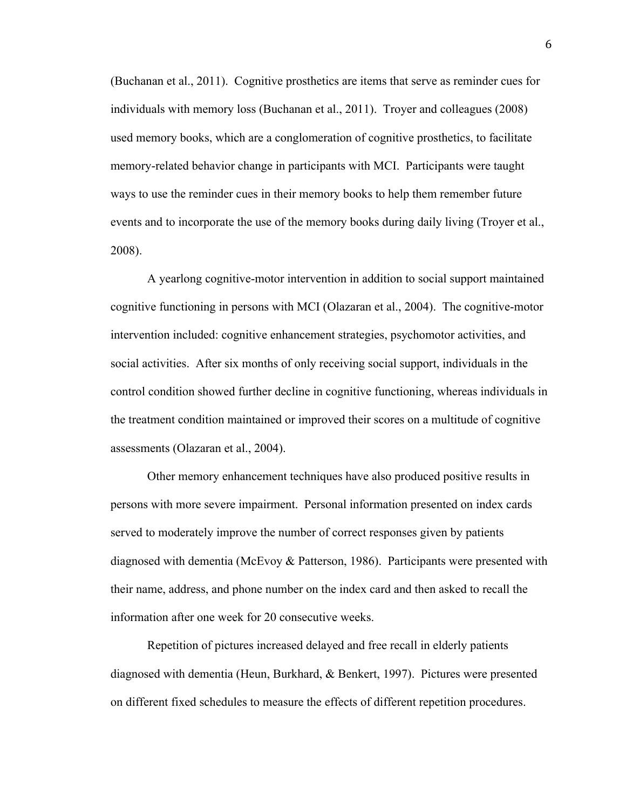(Buchanan et al., 2011). Cognitive prosthetics are items that serve as reminder cues for individuals with memory loss (Buchanan et al., 2011). Troyer and colleagues (2008) used memory books, which are a conglomeration of cognitive prosthetics, to facilitate memory-related behavior change in participants with MCI. Participants were taught ways to use the reminder cues in their memory books to help them remember future events and to incorporate the use of the memory books during daily living (Troyer et al., 2008).

A yearlong cognitive-motor intervention in addition to social support maintained cognitive functioning in persons with MCI (Olazaran et al., 2004). The cognitive-motor intervention included: cognitive enhancement strategies, psychomotor activities, and social activities. After six months of only receiving social support, individuals in the control condition showed further decline in cognitive functioning, whereas individuals in the treatment condition maintained or improved their scores on a multitude of cognitive assessments (Olazaran et al., 2004).

Other memory enhancement techniques have also produced positive results in persons with more severe impairment. Personal information presented on index cards served to moderately improve the number of correct responses given by patients diagnosed with dementia (McEvoy & Patterson, 1986). Participants were presented with their name, address, and phone number on the index card and then asked to recall the information after one week for 20 consecutive weeks.

Repetition of pictures increased delayed and free recall in elderly patients diagnosed with dementia (Heun, Burkhard, & Benkert, 1997). Pictures were presented on different fixed schedules to measure the effects of different repetition procedures.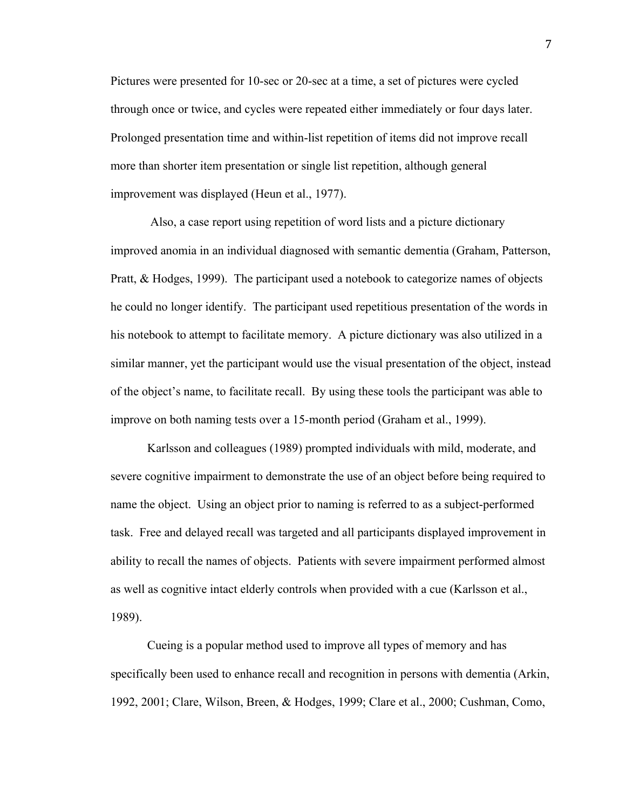Pictures were presented for 10-sec or 20-sec at a time, a set of pictures were cycled through once or twice, and cycles were repeated either immediately or four days later. Prolonged presentation time and within-list repetition of items did not improve recall more than shorter item presentation or single list repetition, although general improvement was displayed (Heun et al., 1977).

 Also, a case report using repetition of word lists and a picture dictionary improved anomia in an individual diagnosed with semantic dementia (Graham, Patterson, Pratt, & Hodges, 1999). The participant used a notebook to categorize names of objects he could no longer identify. The participant used repetitious presentation of the words in his notebook to attempt to facilitate memory. A picture dictionary was also utilized in a similar manner, yet the participant would use the visual presentation of the object, instead of the object's name, to facilitate recall. By using these tools the participant was able to improve on both naming tests over a 15-month period (Graham et al., 1999).

Karlsson and colleagues (1989) prompted individuals with mild, moderate, and severe cognitive impairment to demonstrate the use of an object before being required to name the object. Using an object prior to naming is referred to as a subject-performed task. Free and delayed recall was targeted and all participants displayed improvement in ability to recall the names of objects. Patients with severe impairment performed almost as well as cognitive intact elderly controls when provided with a cue (Karlsson et al., 1989).

Cueing is a popular method used to improve all types of memory and has specifically been used to enhance recall and recognition in persons with dementia (Arkin, 1992, 2001; Clare, Wilson, Breen, & Hodges, 1999; Clare et al., 2000; Cushman, Como,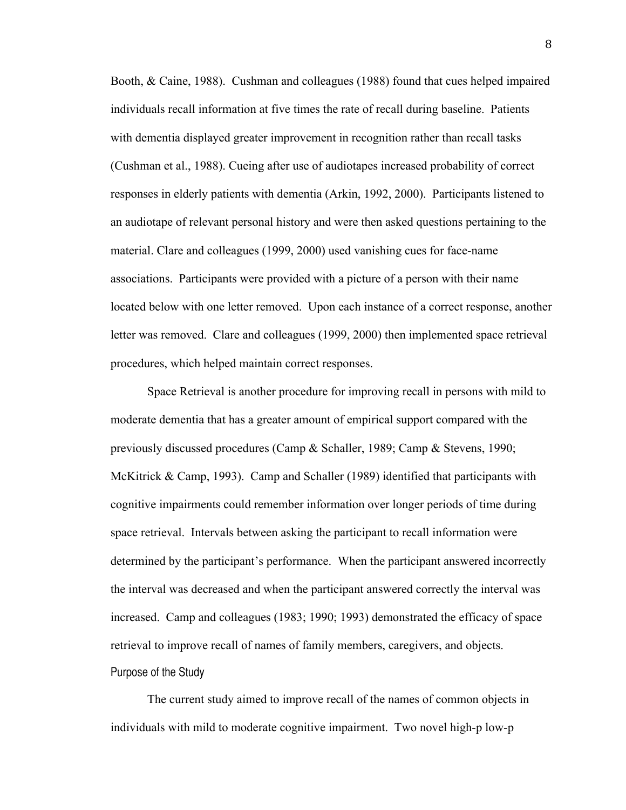Booth, & Caine, 1988). Cushman and colleagues (1988) found that cues helped impaired individuals recall information at five times the rate of recall during baseline. Patients with dementia displayed greater improvement in recognition rather than recall tasks (Cushman et al., 1988). Cueing after use of audiotapes increased probability of correct responses in elderly patients with dementia (Arkin, 1992, 2000). Participants listened to an audiotape of relevant personal history and were then asked questions pertaining to the material. Clare and colleagues (1999, 2000) used vanishing cues for face-name associations. Participants were provided with a picture of a person with their name located below with one letter removed. Upon each instance of a correct response, another letter was removed. Clare and colleagues (1999, 2000) then implemented space retrieval procedures, which helped maintain correct responses.

Space Retrieval is another procedure for improving recall in persons with mild to moderate dementia that has a greater amount of empirical support compared with the previously discussed procedures (Camp & Schaller, 1989; Camp & Stevens, 1990; McKitrick & Camp, 1993). Camp and Schaller (1989) identified that participants with cognitive impairments could remember information over longer periods of time during space retrieval. Intervals between asking the participant to recall information were determined by the participant's performance. When the participant answered incorrectly the interval was decreased and when the participant answered correctly the interval was increased. Camp and colleagues (1983; 1990; 1993) demonstrated the efficacy of space retrieval to improve recall of names of family members, caregivers, and objects. Purpose of the Study

The current study aimed to improve recall of the names of common objects in individuals with mild to moderate cognitive impairment. Two novel high-p low-p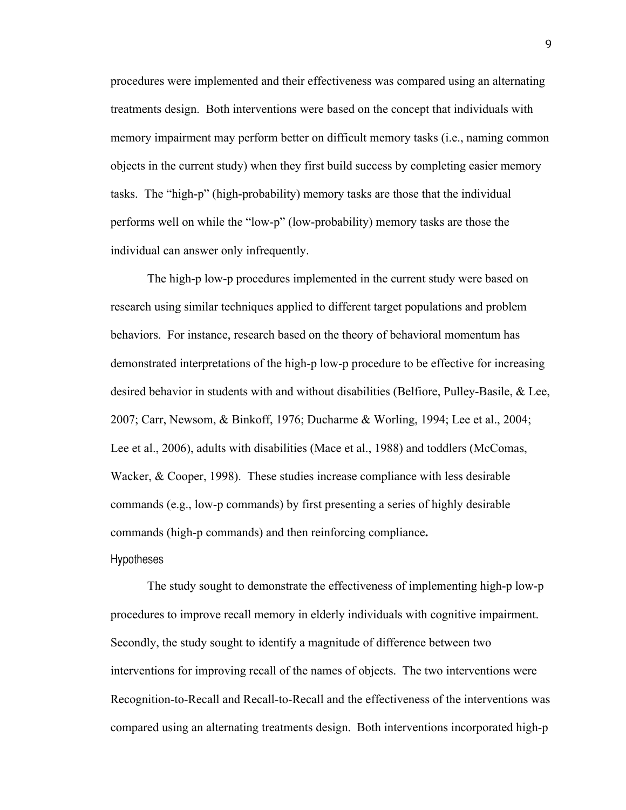procedures were implemented and their effectiveness was compared using an alternating treatments design. Both interventions were based on the concept that individuals with memory impairment may perform better on difficult memory tasks (i.e., naming common objects in the current study) when they first build success by completing easier memory tasks. The "high-p" (high-probability) memory tasks are those that the individual performs well on while the "low-p" (low-probability) memory tasks are those the individual can answer only infrequently.

The high-p low-p procedures implemented in the current study were based on research using similar techniques applied to different target populations and problem behaviors. For instance, research based on the theory of behavioral momentum has demonstrated interpretations of the high-p low-p procedure to be effective for increasing desired behavior in students with and without disabilities (Belfiore, Pulley-Basile, & Lee, 2007; Carr, Newsom, & Binkoff, 1976; Ducharme & Worling, 1994; Lee et al., 2004; Lee et al., 2006), adults with disabilities (Mace et al., 1988) and toddlers (McComas, Wacker, & Cooper, 1998). These studies increase compliance with less desirable commands (e.g., low-p commands) by first presenting a series of highly desirable commands (high-p commands) and then reinforcing compliance**.**

### **Hypotheses**

The study sought to demonstrate the effectiveness of implementing high-p low-p procedures to improve recall memory in elderly individuals with cognitive impairment. Secondly, the study sought to identify a magnitude of difference between two interventions for improving recall of the names of objects. The two interventions were Recognition-to-Recall and Recall-to-Recall and the effectiveness of the interventions was compared using an alternating treatments design. Both interventions incorporated high-p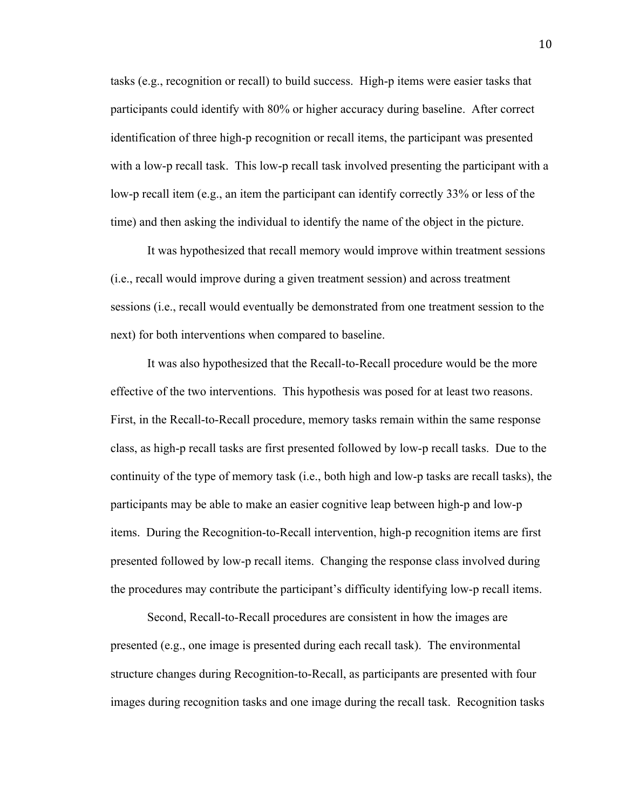tasks (e.g., recognition or recall) to build success. High-p items were easier tasks that participants could identify with 80% or higher accuracy during baseline. After correct identification of three high-p recognition or recall items, the participant was presented with a low-p recall task. This low-p recall task involved presenting the participant with a low-p recall item (e.g., an item the participant can identify correctly 33% or less of the time) and then asking the individual to identify the name of the object in the picture.

It was hypothesized that recall memory would improve within treatment sessions (i.e., recall would improve during a given treatment session) and across treatment sessions (i.e., recall would eventually be demonstrated from one treatment session to the next) for both interventions when compared to baseline.

It was also hypothesized that the Recall-to-Recall procedure would be the more effective of the two interventions. This hypothesis was posed for at least two reasons. First, in the Recall-to-Recall procedure, memory tasks remain within the same response class, as high-p recall tasks are first presented followed by low-p recall tasks. Due to the continuity of the type of memory task (i.e., both high and low-p tasks are recall tasks), the participants may be able to make an easier cognitive leap between high-p and low-p items. During the Recognition-to-Recall intervention, high-p recognition items are first presented followed by low-p recall items. Changing the response class involved during the procedures may contribute the participant's difficulty identifying low-p recall items.

Second, Recall-to-Recall procedures are consistent in how the images are presented (e.g., one image is presented during each recall task). The environmental structure changes during Recognition-to-Recall, as participants are presented with four images during recognition tasks and one image during the recall task. Recognition tasks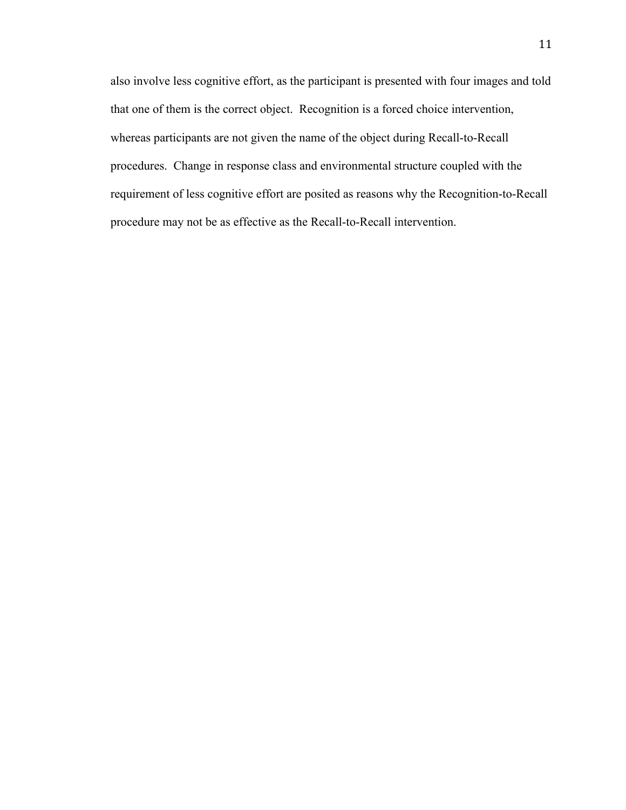also involve less cognitive effort, as the participant is presented with four images and told that one of them is the correct object. Recognition is a forced choice intervention, whereas participants are not given the name of the object during Recall-to-Recall procedures. Change in response class and environmental structure coupled with the requirement of less cognitive effort are posited as reasons why the Recognition-to-Recall procedure may not be as effective as the Recall-to-Recall intervention.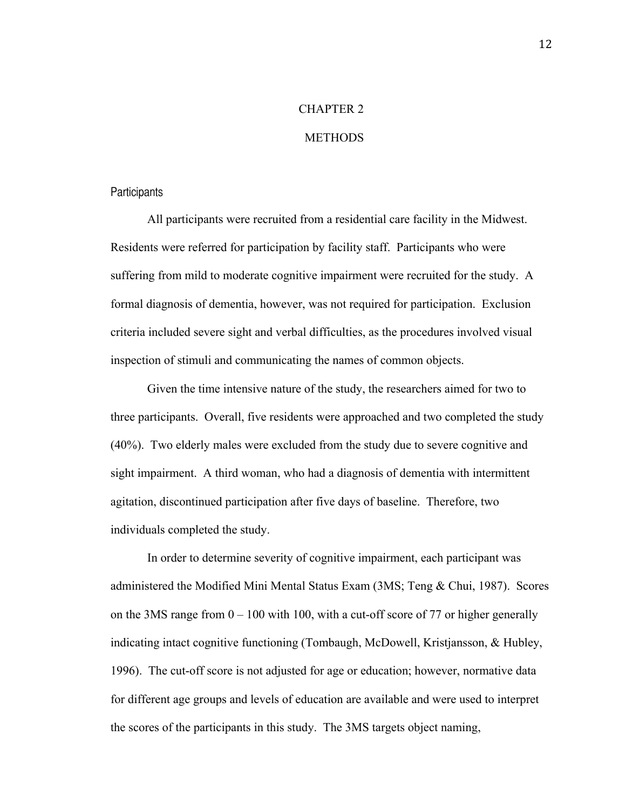### CHAPTER 2

### **METHODS**

#### **Participants**

All participants were recruited from a residential care facility in the Midwest. Residents were referred for participation by facility staff. Participants who were suffering from mild to moderate cognitive impairment were recruited for the study. A formal diagnosis of dementia, however, was not required for participation. Exclusion criteria included severe sight and verbal difficulties, as the procedures involved visual inspection of stimuli and communicating the names of common objects.

Given the time intensive nature of the study, the researchers aimed for two to three participants. Overall, five residents were approached and two completed the study (40%). Two elderly males were excluded from the study due to severe cognitive and sight impairment. A third woman, who had a diagnosis of dementia with intermittent agitation, discontinued participation after five days of baseline. Therefore, two individuals completed the study.

In order to determine severity of cognitive impairment, each participant was administered the Modified Mini Mental Status Exam (3MS; Teng & Chui, 1987). Scores on the 3MS range from  $0 - 100$  with 100, with a cut-off score of 77 or higher generally indicating intact cognitive functioning (Tombaugh, McDowell, Kristjansson, & Hubley, 1996). The cut-off score is not adjusted for age or education; however, normative data for different age groups and levels of education are available and were used to interpret the scores of the participants in this study. The 3MS targets object naming,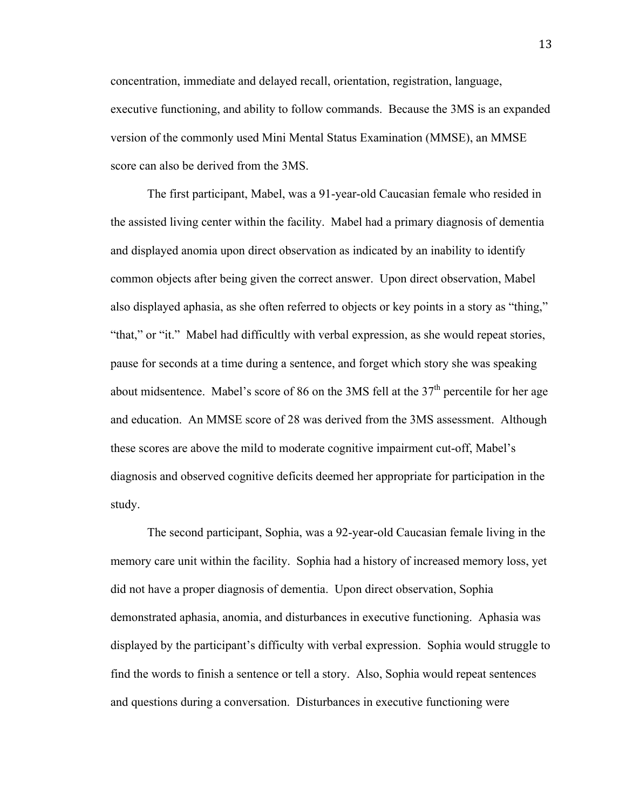concentration, immediate and delayed recall, orientation, registration, language, executive functioning, and ability to follow commands. Because the 3MS is an expanded version of the commonly used Mini Mental Status Examination (MMSE), an MMSE score can also be derived from the 3MS.

The first participant, Mabel, was a 91-year-old Caucasian female who resided in the assisted living center within the facility. Mabel had a primary diagnosis of dementia and displayed anomia upon direct observation as indicated by an inability to identify common objects after being given the correct answer. Upon direct observation, Mabel also displayed aphasia, as she often referred to objects or key points in a story as "thing," "that," or "it." Mabel had difficultly with verbal expression, as she would repeat stories, pause for seconds at a time during a sentence, and forget which story she was speaking about midsentence. Mabel's score of 86 on the 3MS fell at the  $37<sup>th</sup>$  percentile for her age and education. An MMSE score of 28 was derived from the 3MS assessment. Although these scores are above the mild to moderate cognitive impairment cut-off, Mabel's diagnosis and observed cognitive deficits deemed her appropriate for participation in the study.

The second participant, Sophia, was a 92-year-old Caucasian female living in the memory care unit within the facility. Sophia had a history of increased memory loss, yet did not have a proper diagnosis of dementia. Upon direct observation, Sophia demonstrated aphasia, anomia, and disturbances in executive functioning. Aphasia was displayed by the participant's difficulty with verbal expression. Sophia would struggle to find the words to finish a sentence or tell a story. Also, Sophia would repeat sentences and questions during a conversation. Disturbances in executive functioning were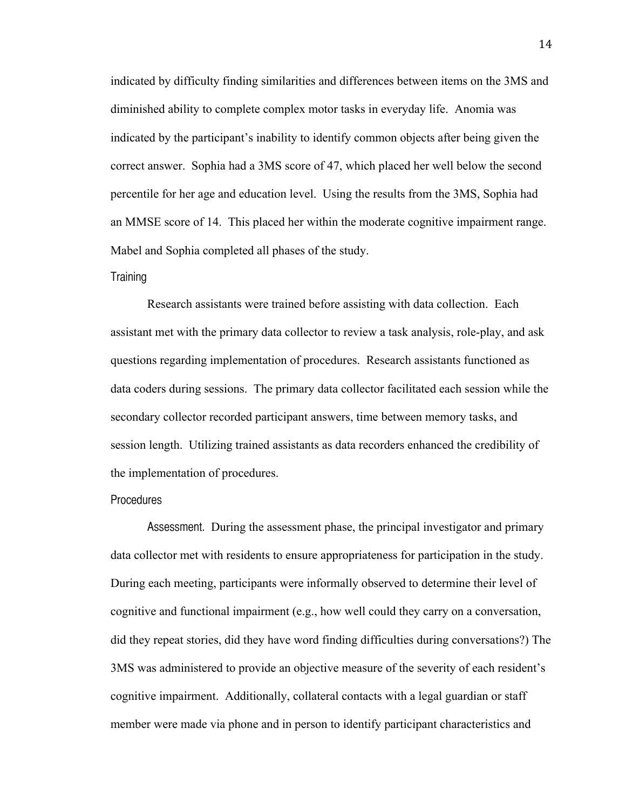indicated by difficulty finding similarities and differences between items on the 3MS and diminished ability to complete complex motor tasks in everyday life. Anomia was indicated by the participant's inability to identify common objects after being given the correct answer. Sophia had a 3MS score of 47, which placed her well below the second percentile for her age and education level. Using the results from the 3MS, Sophia had an MMSE score of 14. This placed her within the moderate cognitive impairment range. Mabel and Sophia completed all phases of the study.

#### Training

Research assistants were trained before assisting with data collection. Each assistant met with the primary data collector to review a task analysis, role-play, and ask questions regarding implementation of procedures. Research assistants functioned as data coders during sessions. The primary data collector facilitated each session while the secondary collector recorded participant answers, time between memory tasks, and session length. Utilizing trained assistants as data recorders enhanced the credibility of the implementation of procedures.

#### Procedures

Assessment. During the assessment phase, the principal investigator and primary data collector met with residents to ensure appropriateness for participation in the study. During each meeting, participants were informally observed to determine their level of cognitive and functional impairment (e.g., how well could they carry on a conversation, did they repeat stories, did they have word finding difficulties during conversations?) The 3MS was administered to provide an objective measure of the severity of each resident's cognitive impairment. Additionally, collateral contacts with a legal guardian or staff member were made via phone and in person to identify participant characteristics and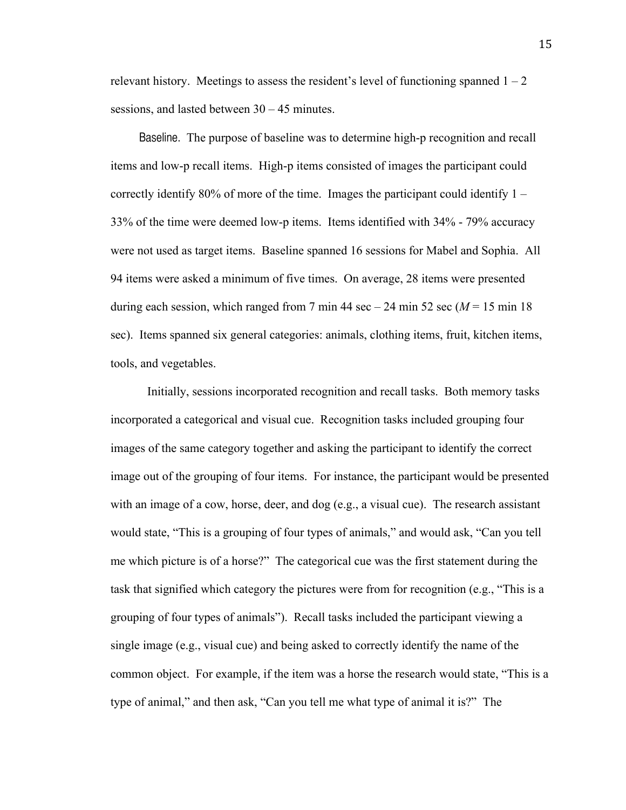relevant history. Meetings to assess the resident's level of functioning spanned  $1 - 2$ sessions, and lasted between 30 – 45 minutes.

Baseline. The purpose of baseline was to determine high-p recognition and recall items and low-p recall items. High-p items consisted of images the participant could correctly identify 80% of more of the time. Images the participant could identify 1 – 33% of the time were deemed low-p items. Items identified with 34% - 79% accuracy were not used as target items. Baseline spanned 16 sessions for Mabel and Sophia. All 94 items were asked a minimum of five times. On average, 28 items were presented during each session, which ranged from 7 min 44 sec  $-24$  min 52 sec ( $M = 15$  min 18) sec). Items spanned six general categories: animals, clothing items, fruit, kitchen items, tools, and vegetables.

Initially, sessions incorporated recognition and recall tasks. Both memory tasks incorporated a categorical and visual cue. Recognition tasks included grouping four images of the same category together and asking the participant to identify the correct image out of the grouping of four items. For instance, the participant would be presented with an image of a cow, horse, deer, and dog (e.g., a visual cue). The research assistant would state, "This is a grouping of four types of animals," and would ask, "Can you tell me which picture is of a horse?" The categorical cue was the first statement during the task that signified which category the pictures were from for recognition (e.g., "This is a grouping of four types of animals"). Recall tasks included the participant viewing a single image (e.g., visual cue) and being asked to correctly identify the name of the common object. For example, if the item was a horse the research would state, "This is a type of animal," and then ask, "Can you tell me what type of animal it is?" The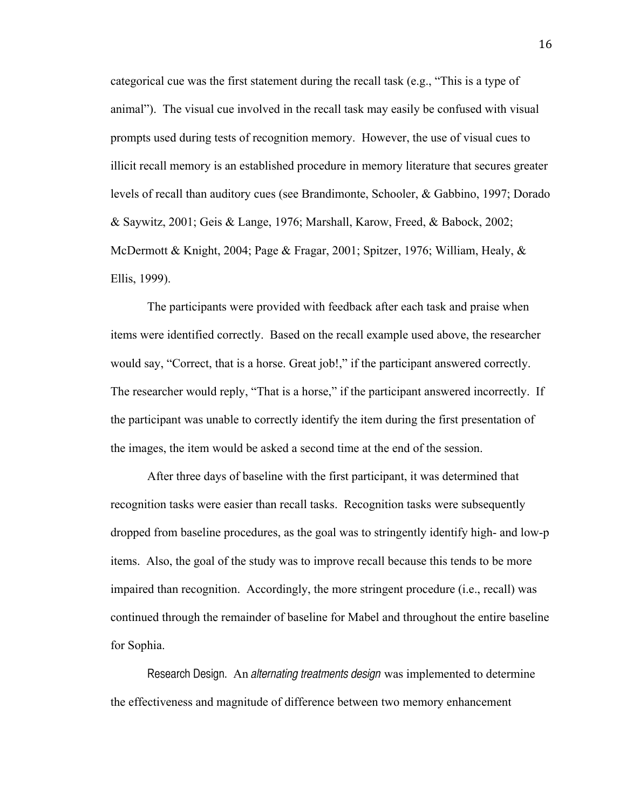categorical cue was the first statement during the recall task (e.g., "This is a type of animal"). The visual cue involved in the recall task may easily be confused with visual prompts used during tests of recognition memory. However, the use of visual cues to illicit recall memory is an established procedure in memory literature that secures greater levels of recall than auditory cues (see Brandimonte, Schooler, & Gabbino, 1997; Dorado & Saywitz, 2001; Geis & Lange, 1976; Marshall, Karow, Freed, & Babock, 2002; McDermott & Knight, 2004; Page & Fragar, 2001; Spitzer, 1976; William, Healy, & Ellis, 1999).

The participants were provided with feedback after each task and praise when items were identified correctly. Based on the recall example used above, the researcher would say, "Correct, that is a horse. Great job!," if the participant answered correctly. The researcher would reply, "That is a horse," if the participant answered incorrectly. If the participant was unable to correctly identify the item during the first presentation of the images, the item would be asked a second time at the end of the session.

After three days of baseline with the first participant, it was determined that recognition tasks were easier than recall tasks. Recognition tasks were subsequently dropped from baseline procedures, as the goal was to stringently identify high- and low-p items. Also, the goal of the study was to improve recall because this tends to be more impaired than recognition. Accordingly, the more stringent procedure (i.e., recall) was continued through the remainder of baseline for Mabel and throughout the entire baseline for Sophia.

Research Design. An *alternating treatments design* was implemented to determine the effectiveness and magnitude of difference between two memory enhancement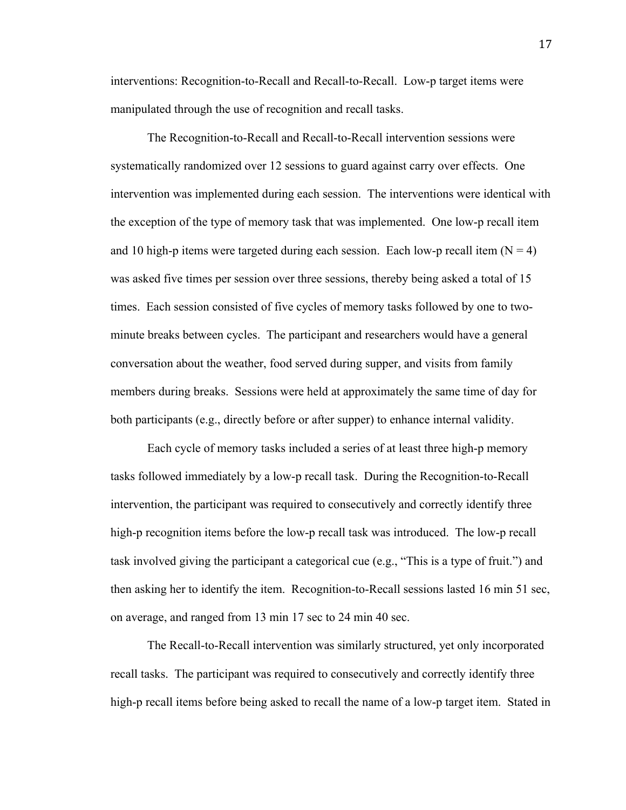interventions: Recognition-to-Recall and Recall-to-Recall. Low-p target items were manipulated through the use of recognition and recall tasks.

The Recognition-to-Recall and Recall-to-Recall intervention sessions were systematically randomized over 12 sessions to guard against carry over effects. One intervention was implemented during each session. The interventions were identical with the exception of the type of memory task that was implemented. One low-p recall item and 10 high-p items were targeted during each session. Each low-p recall item  $(N = 4)$ was asked five times per session over three sessions, thereby being asked a total of 15 times. Each session consisted of five cycles of memory tasks followed by one to twominute breaks between cycles. The participant and researchers would have a general conversation about the weather, food served during supper, and visits from family members during breaks. Sessions were held at approximately the same time of day for both participants (e.g., directly before or after supper) to enhance internal validity.

Each cycle of memory tasks included a series of at least three high-p memory tasks followed immediately by a low-p recall task. During the Recognition-to-Recall intervention, the participant was required to consecutively and correctly identify three high-p recognition items before the low-p recall task was introduced. The low-p recall task involved giving the participant a categorical cue (e.g., "This is a type of fruit.") and then asking her to identify the item. Recognition-to-Recall sessions lasted 16 min 51 sec, on average, and ranged from 13 min 17 sec to 24 min 40 sec.

The Recall-to-Recall intervention was similarly structured, yet only incorporated recall tasks. The participant was required to consecutively and correctly identify three high-p recall items before being asked to recall the name of a low-p target item. Stated in

17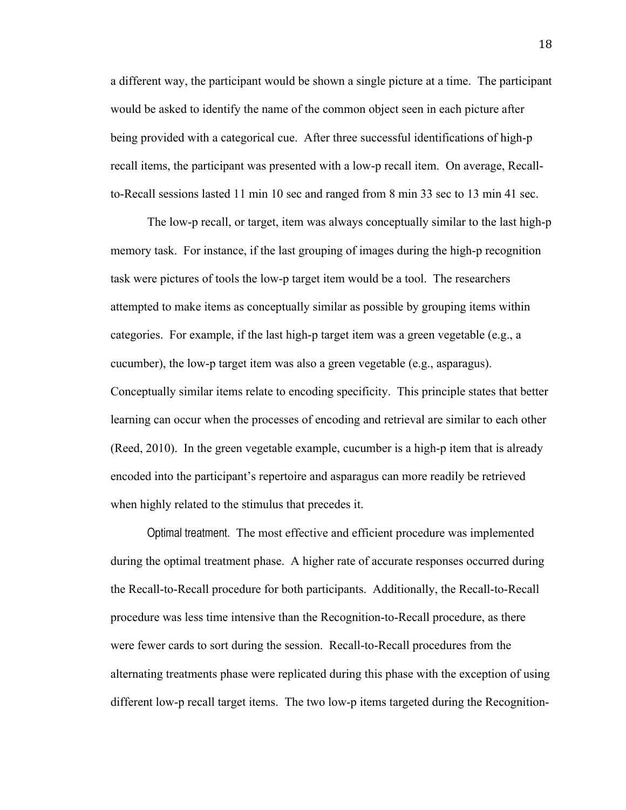a different way, the participant would be shown a single picture at a time. The participant would be asked to identify the name of the common object seen in each picture after being provided with a categorical cue. After three successful identifications of high-p recall items, the participant was presented with a low-p recall item. On average, Recallto-Recall sessions lasted 11 min 10 sec and ranged from 8 min 33 sec to 13 min 41 sec.

The low-p recall, or target, item was always conceptually similar to the last high-p memory task. For instance, if the last grouping of images during the high-p recognition task were pictures of tools the low-p target item would be a tool. The researchers attempted to make items as conceptually similar as possible by grouping items within categories. For example, if the last high-p target item was a green vegetable (e.g., a cucumber), the low-p target item was also a green vegetable (e.g., asparagus). Conceptually similar items relate to encoding specificity. This principle states that better learning can occur when the processes of encoding and retrieval are similar to each other (Reed, 2010). In the green vegetable example, cucumber is a high-p item that is already encoded into the participant's repertoire and asparagus can more readily be retrieved when highly related to the stimulus that precedes it.

Optimal treatment.The most effective and efficient procedure was implemented during the optimal treatment phase. A higher rate of accurate responses occurred during the Recall-to-Recall procedure for both participants. Additionally, the Recall-to-Recall procedure was less time intensive than the Recognition-to-Recall procedure, as there were fewer cards to sort during the session. Recall-to-Recall procedures from the alternating treatments phase were replicated during this phase with the exception of using different low-p recall target items. The two low-p items targeted during the Recognition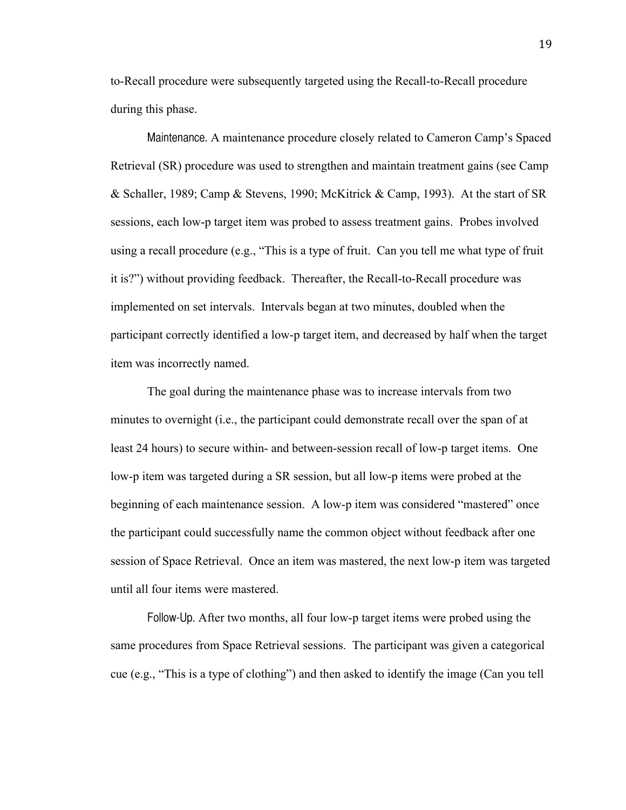to-Recall procedure were subsequently targeted using the Recall-to-Recall procedure during this phase.

Maintenance. A maintenance procedure closely related to Cameron Camp's Spaced Retrieval (SR) procedure was used to strengthen and maintain treatment gains (see Camp & Schaller, 1989; Camp & Stevens, 1990; McKitrick & Camp, 1993). At the start of SR sessions, each low-p target item was probed to assess treatment gains. Probes involved using a recall procedure (e.g., "This is a type of fruit. Can you tell me what type of fruit it is?") without providing feedback. Thereafter, the Recall-to-Recall procedure was implemented on set intervals. Intervals began at two minutes, doubled when the participant correctly identified a low-p target item, and decreased by half when the target item was incorrectly named.

The goal during the maintenance phase was to increase intervals from two minutes to overnight (i.e., the participant could demonstrate recall over the span of at least 24 hours) to secure within- and between-session recall of low-p target items. One low-p item was targeted during a SR session, but all low-p items were probed at the beginning of each maintenance session. A low-p item was considered "mastered" once the participant could successfully name the common object without feedback after one session of Space Retrieval. Once an item was mastered, the next low-p item was targeted until all four items were mastered.

Follow-Up. After two months, all four low-p target items were probed using the same procedures from Space Retrieval sessions. The participant was given a categorical cue (e.g., "This is a type of clothing") and then asked to identify the image (Can you tell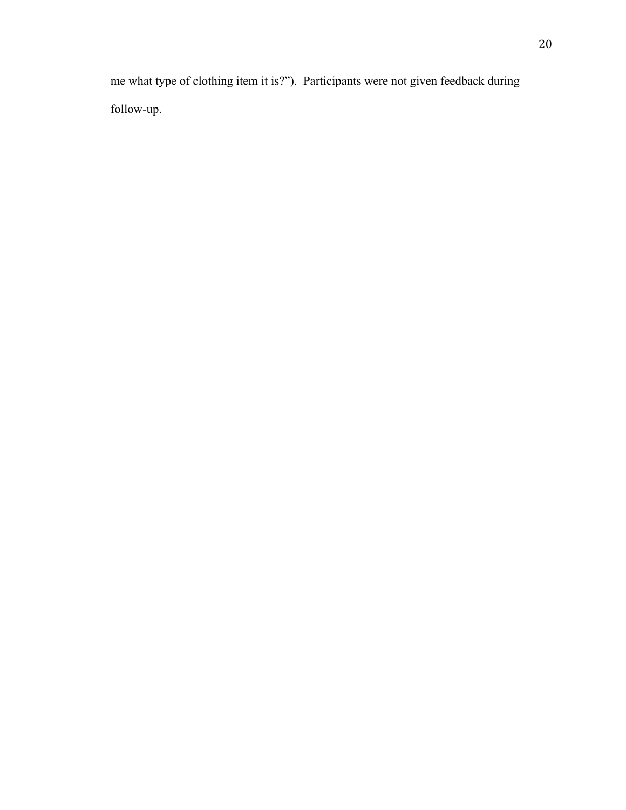me what type of clothing item it is?"). Participants were not given feedback during follow-up.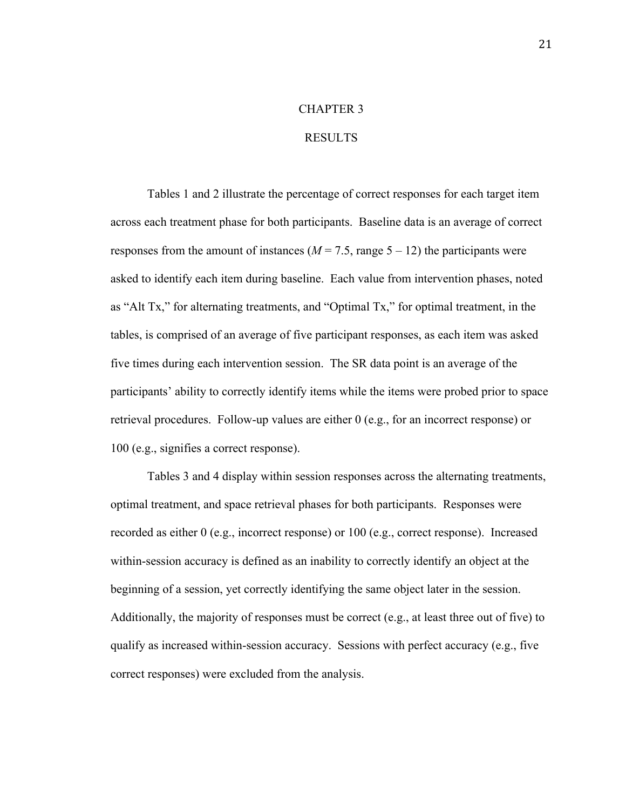### CHAPTER 3

### RESULTS

Tables 1 and 2 illustrate the percentage of correct responses for each target item across each treatment phase for both participants. Baseline data is an average of correct responses from the amount of instances  $(M = 7.5, \text{range } 5 - 12)$  the participants were asked to identify each item during baseline. Each value from intervention phases, noted as "Alt Tx," for alternating treatments, and "Optimal Tx," for optimal treatment, in the tables, is comprised of an average of five participant responses, as each item was asked five times during each intervention session. The SR data point is an average of the participants' ability to correctly identify items while the items were probed prior to space retrieval procedures. Follow-up values are either 0 (e.g., for an incorrect response) or 100 (e.g., signifies a correct response).

Tables 3 and 4 display within session responses across the alternating treatments, optimal treatment, and space retrieval phases for both participants. Responses were recorded as either 0 (e.g., incorrect response) or 100 (e.g., correct response). Increased within-session accuracy is defined as an inability to correctly identify an object at the beginning of a session, yet correctly identifying the same object later in the session. Additionally, the majority of responses must be correct (e.g., at least three out of five) to qualify as increased within-session accuracy. Sessions with perfect accuracy (e.g., five correct responses) were excluded from the analysis.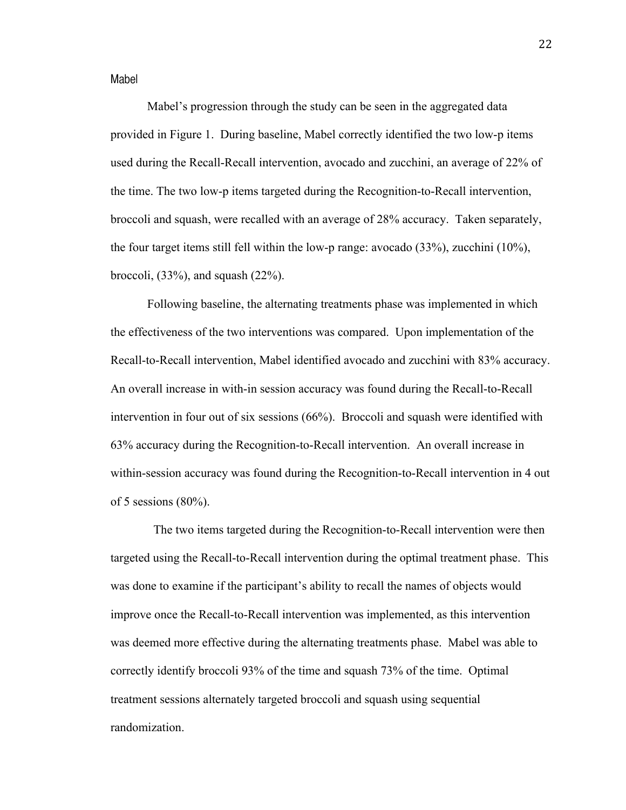Mabel

Mabel's progression through the study can be seen in the aggregated data provided in Figure 1. During baseline, Mabel correctly identified the two low-p items used during the Recall-Recall intervention, avocado and zucchini, an average of 22% of the time. The two low-p items targeted during the Recognition-to-Recall intervention, broccoli and squash, were recalled with an average of 28% accuracy. Taken separately, the four target items still fell within the low-p range: avocado (33%), zucchini (10%), broccoli,  $(33\%)$ , and squash  $(22\%)$ .

Following baseline, the alternating treatments phase was implemented in which the effectiveness of the two interventions was compared. Upon implementation of the Recall-to-Recall intervention, Mabel identified avocado and zucchini with 83% accuracy. An overall increase in with-in session accuracy was found during the Recall-to-Recall intervention in four out of six sessions (66%). Broccoli and squash were identified with 63% accuracy during the Recognition-to-Recall intervention. An overall increase in within-session accuracy was found during the Recognition-to-Recall intervention in 4 out of 5 sessions  $(80\%)$ .

 The two items targeted during the Recognition-to-Recall intervention were then targeted using the Recall-to-Recall intervention during the optimal treatment phase. This was done to examine if the participant's ability to recall the names of objects would improve once the Recall-to-Recall intervention was implemented, as this intervention was deemed more effective during the alternating treatments phase. Mabel was able to correctly identify broccoli 93% of the time and squash 73% of the time. Optimal treatment sessions alternately targeted broccoli and squash using sequential randomization.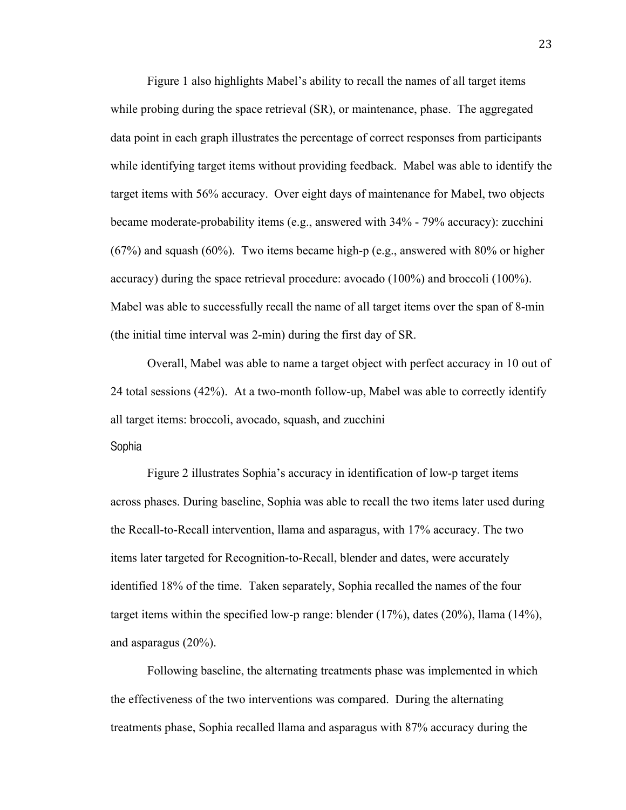Figure 1 also highlights Mabel's ability to recall the names of all target items while probing during the space retrieval (SR), or maintenance, phase. The aggregated data point in each graph illustrates the percentage of correct responses from participants while identifying target items without providing feedback. Mabel was able to identify the target items with 56% accuracy. Over eight days of maintenance for Mabel, two objects became moderate-probability items (e.g., answered with 34% - 79% accuracy): zucchini (67%) and squash (60%). Two items became high-p (e.g., answered with 80% or higher accuracy) during the space retrieval procedure: avocado (100%) and broccoli (100%). Mabel was able to successfully recall the name of all target items over the span of 8-min (the initial time interval was 2-min) during the first day of SR.

Overall, Mabel was able to name a target object with perfect accuracy in 10 out of 24 total sessions (42%). At a two-month follow-up, Mabel was able to correctly identify all target items: broccoli, avocado, squash, and zucchini

Sophia

Figure 2 illustrates Sophia's accuracy in identification of low-p target items across phases. During baseline, Sophia was able to recall the two items later used during the Recall-to-Recall intervention, llama and asparagus, with 17% accuracy. The two items later targeted for Recognition-to-Recall, blender and dates, were accurately identified 18% of the time. Taken separately, Sophia recalled the names of the four target items within the specified low-p range: blender (17%), dates (20%), llama (14%), and asparagus (20%).

Following baseline, the alternating treatments phase was implemented in which the effectiveness of the two interventions was compared. During the alternating treatments phase, Sophia recalled llama and asparagus with 87% accuracy during the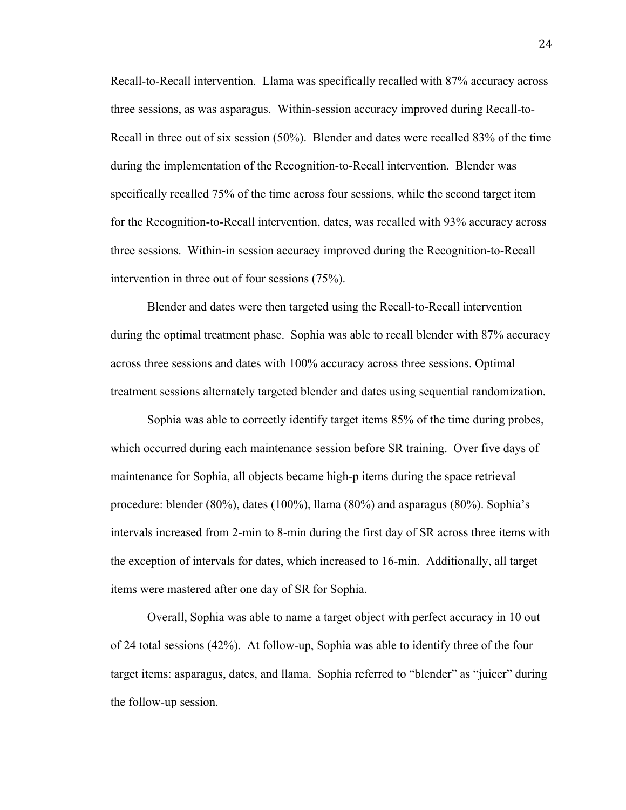Recall-to-Recall intervention. Llama was specifically recalled with 87% accuracy across three sessions, as was asparagus. Within-session accuracy improved during Recall-to-Recall in three out of six session (50%). Blender and dates were recalled 83% of the time during the implementation of the Recognition-to-Recall intervention. Blender was specifically recalled 75% of the time across four sessions, while the second target item for the Recognition-to-Recall intervention, dates, was recalled with 93% accuracy across three sessions. Within-in session accuracy improved during the Recognition-to-Recall intervention in three out of four sessions (75%).

Blender and dates were then targeted using the Recall-to-Recall intervention during the optimal treatment phase. Sophia was able to recall blender with 87% accuracy across three sessions and dates with 100% accuracy across three sessions. Optimal treatment sessions alternately targeted blender and dates using sequential randomization.

Sophia was able to correctly identify target items 85% of the time during probes, which occurred during each maintenance session before SR training. Over five days of maintenance for Sophia, all objects became high-p items during the space retrieval procedure: blender (80%), dates (100%), llama (80%) and asparagus (80%). Sophia's intervals increased from 2-min to 8-min during the first day of SR across three items with the exception of intervals for dates, which increased to 16-min. Additionally, all target items were mastered after one day of SR for Sophia.

Overall, Sophia was able to name a target object with perfect accuracy in 10 out of 24 total sessions (42%). At follow-up, Sophia was able to identify three of the four target items: asparagus, dates, and llama. Sophia referred to "blender" as "juicer" during the follow-up session.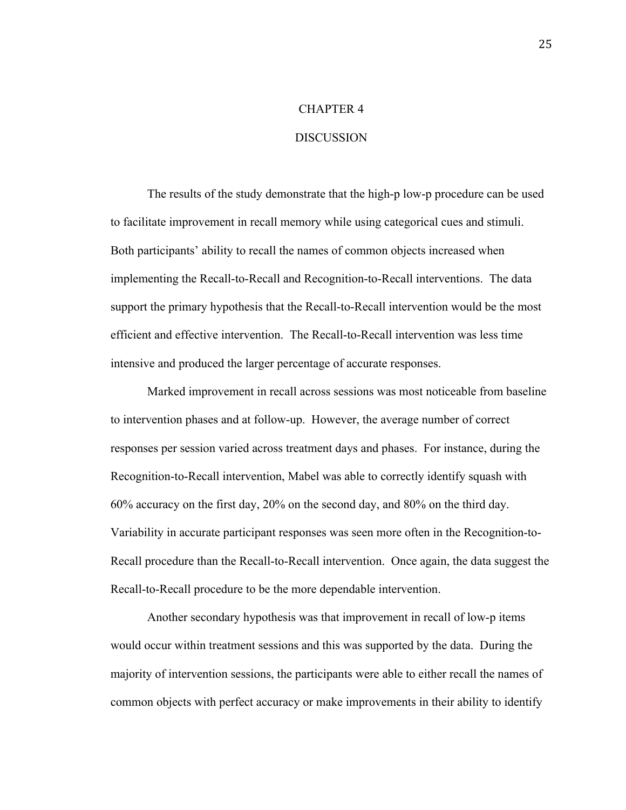### CHAPTER 4

#### **DISCUSSION**

The results of the study demonstrate that the high-p low-p procedure can be used to facilitate improvement in recall memory while using categorical cues and stimuli. Both participants' ability to recall the names of common objects increased when implementing the Recall-to-Recall and Recognition-to-Recall interventions. The data support the primary hypothesis that the Recall-to-Recall intervention would be the most efficient and effective intervention. The Recall-to-Recall intervention was less time intensive and produced the larger percentage of accurate responses.

Marked improvement in recall across sessions was most noticeable from baseline to intervention phases and at follow-up. However, the average number of correct responses per session varied across treatment days and phases. For instance, during the Recognition-to-Recall intervention, Mabel was able to correctly identify squash with 60% accuracy on the first day, 20% on the second day, and 80% on the third day. Variability in accurate participant responses was seen more often in the Recognition-to-Recall procedure than the Recall-to-Recall intervention. Once again, the data suggest the Recall-to-Recall procedure to be the more dependable intervention.

Another secondary hypothesis was that improvement in recall of low-p items would occur within treatment sessions and this was supported by the data. During the majority of intervention sessions, the participants were able to either recall the names of common objects with perfect accuracy or make improvements in their ability to identify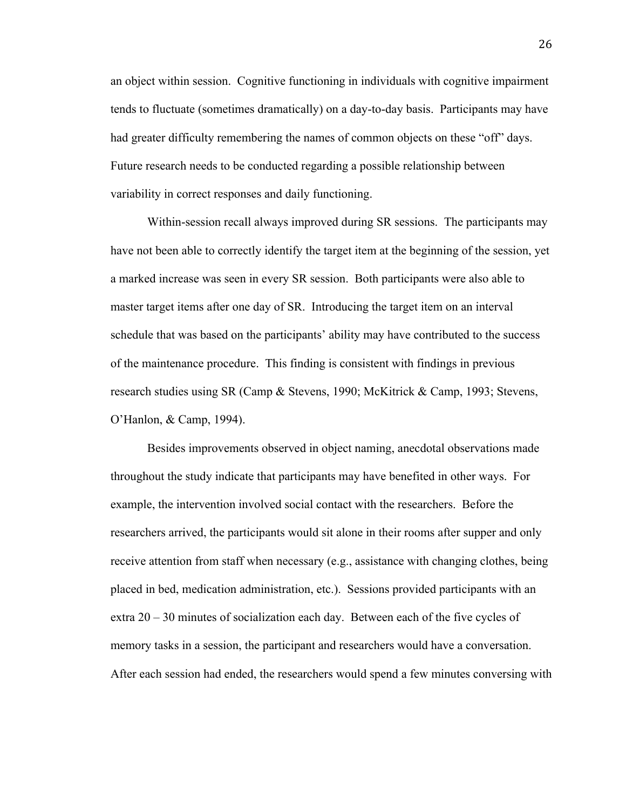an object within session. Cognitive functioning in individuals with cognitive impairment tends to fluctuate (sometimes dramatically) on a day-to-day basis. Participants may have had greater difficulty remembering the names of common objects on these "off" days. Future research needs to be conducted regarding a possible relationship between variability in correct responses and daily functioning.

Within-session recall always improved during SR sessions. The participants may have not been able to correctly identify the target item at the beginning of the session, yet a marked increase was seen in every SR session. Both participants were also able to master target items after one day of SR. Introducing the target item on an interval schedule that was based on the participants' ability may have contributed to the success of the maintenance procedure. This finding is consistent with findings in previous research studies using SR (Camp & Stevens, 1990; McKitrick & Camp, 1993; Stevens, O'Hanlon, & Camp, 1994).

Besides improvements observed in object naming, anecdotal observations made throughout the study indicate that participants may have benefited in other ways. For example, the intervention involved social contact with the researchers. Before the researchers arrived, the participants would sit alone in their rooms after supper and only receive attention from staff when necessary (e.g., assistance with changing clothes, being placed in bed, medication administration, etc.). Sessions provided participants with an extra  $20 - 30$  minutes of socialization each day. Between each of the five cycles of memory tasks in a session, the participant and researchers would have a conversation. After each session had ended, the researchers would spend a few minutes conversing with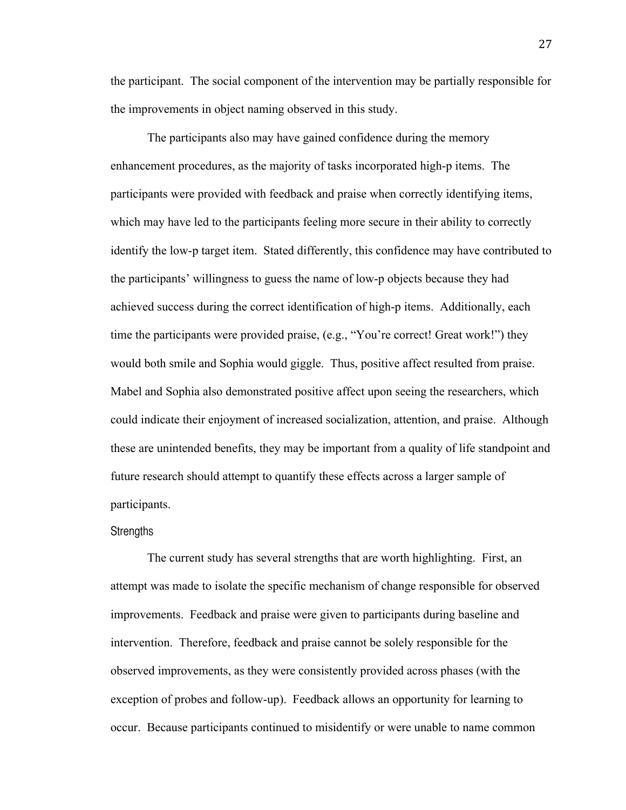the participant. The social component of the intervention may be partially responsible for the improvements in object naming observed in this study.

The participants also may have gained confidence during the memory enhancement procedures, as the majority of tasks incorporated high-p items. The participants were provided with feedback and praise when correctly identifying items, which may have led to the participants feeling more secure in their ability to correctly identify the low-p target item. Stated differently, this confidence may have contributed to the participants' willingness to guess the name of low-p objects because they had achieved success during the correct identification of high-p items. Additionally, each time the participants were provided praise, (e.g., "You're correct! Great work!") they would both smile and Sophia would giggle. Thus, positive affect resulted from praise. Mabel and Sophia also demonstrated positive affect upon seeing the researchers, which could indicate their enjoyment of increased socialization, attention, and praise. Although these are unintended benefits, they may be important from a quality of life standpoint and future research should attempt to quantify these effects across a larger sample of participants.

#### Strengths

The current study has several strengths that are worth highlighting. First, an attempt was made to isolate the specific mechanism of change responsible for observed improvements. Feedback and praise were given to participants during baseline and intervention. Therefore, feedback and praise cannot be solely responsible for the observed improvements, as they were consistently provided across phases (with the exception of probes and follow-up).Feedback allows an opportunity for learning to occur. Because participants continued to misidentify or were unable to name common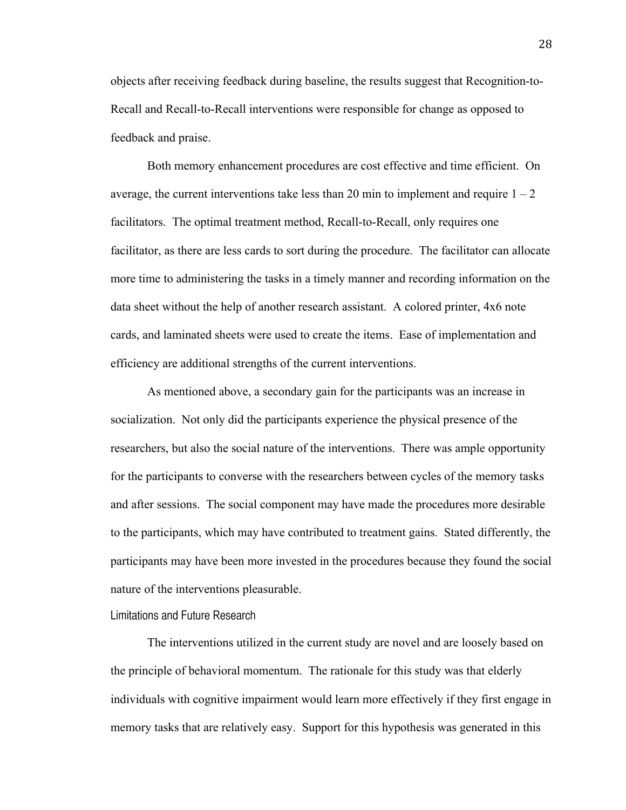objects after receiving feedback during baseline, the results suggest that Recognition-to-Recall and Recall-to-Recall interventions were responsible for change as opposed to feedback and praise.

Both memory enhancement procedures are cost effective and time efficient. On average, the current interventions take less than 20 min to implement and require  $1 - 2$ facilitators. The optimal treatment method, Recall-to-Recall, only requires one facilitator, as there are less cards to sort during the procedure. The facilitator can allocate more time to administering the tasks in a timely manner and recording information on the data sheet without the help of another research assistant. A colored printer, 4x6 note cards, and laminated sheets were used to create the items. Ease of implementation and efficiency are additional strengths of the current interventions.

As mentioned above, a secondary gain for the participants was an increase in socialization. Not only did the participants experience the physical presence of the researchers, but also the social nature of the interventions. There was ample opportunity for the participants to converse with the researchers between cycles of the memory tasks and after sessions. The social component may have made the procedures more desirable to the participants, which may have contributed to treatment gains. Stated differently, the participants may have been more invested in the procedures because they found the social nature of the interventions pleasurable.

### Limitations and Future Research

The interventions utilized in the current study are novel and are loosely based on the principle of behavioral momentum. The rationale for this study was that elderly individuals with cognitive impairment would learn more effectively if they first engage in memory tasks that are relatively easy. Support for this hypothesis was generated in this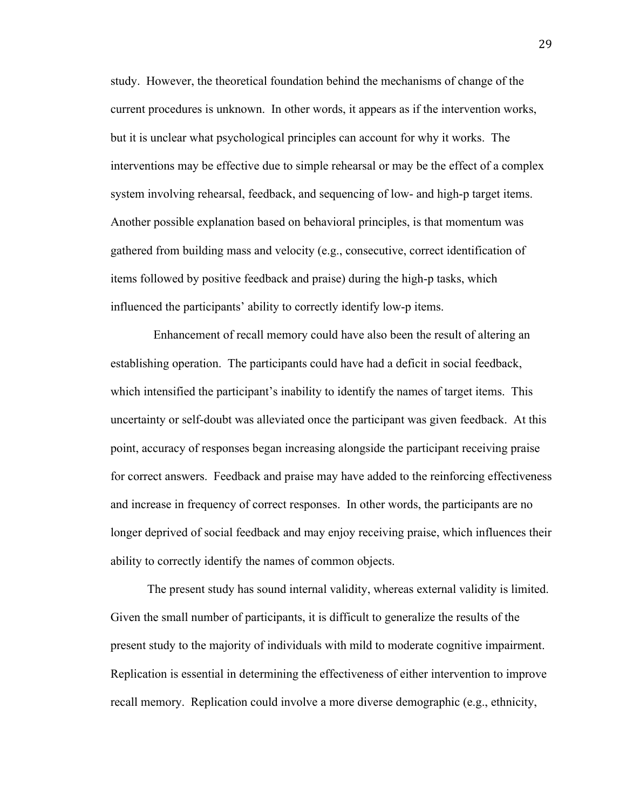study. However, the theoretical foundation behind the mechanisms of change of the current procedures is unknown. In other words, it appears as if the intervention works, but it is unclear what psychological principles can account for why it works. The interventions may be effective due to simple rehearsal or may be the effect of a complex system involving rehearsal, feedback, and sequencing of low- and high-p target items. Another possible explanation based on behavioral principles, is that momentum was gathered from building mass and velocity (e.g., consecutive, correct identification of items followed by positive feedback and praise) during the high-p tasks, which influenced the participants' ability to correctly identify low-p items.

 Enhancement of recall memory could have also been the result of altering an establishing operation. The participants could have had a deficit in social feedback, which intensified the participant's inability to identify the names of target items. This uncertainty or self-doubt was alleviated once the participant was given feedback. At this point, accuracy of responses began increasing alongside the participant receiving praise for correct answers. Feedback and praise may have added to the reinforcing effectiveness and increase in frequency of correct responses. In other words, the participants are no longer deprived of social feedback and may enjoy receiving praise, which influences their ability to correctly identify the names of common objects.

The present study has sound internal validity, whereas external validity is limited. Given the small number of participants, it is difficult to generalize the results of the present study to the majority of individuals with mild to moderate cognitive impairment. Replication is essential in determining the effectiveness of either intervention to improve recall memory. Replication could involve a more diverse demographic (e.g., ethnicity,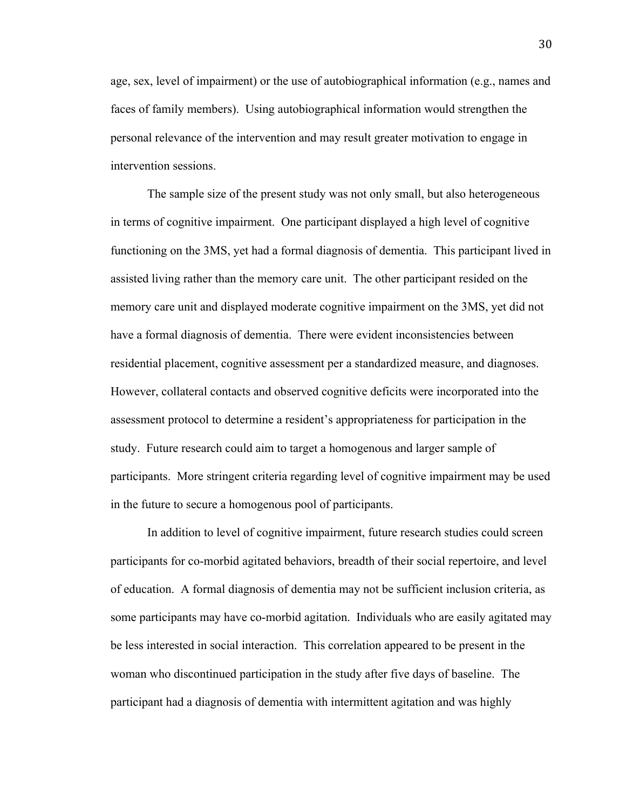age, sex, level of impairment) or the use of autobiographical information (e.g., names and faces of family members). Using autobiographical information would strengthen the personal relevance of the intervention and may result greater motivation to engage in intervention sessions.

The sample size of the present study was not only small, but also heterogeneous in terms of cognitive impairment. One participant displayed a high level of cognitive functioning on the 3MS, yet had a formal diagnosis of dementia. This participant lived in assisted living rather than the memory care unit. The other participant resided on the memory care unit and displayed moderate cognitive impairment on the 3MS, yet did not have a formal diagnosis of dementia. There were evident inconsistencies between residential placement, cognitive assessment per a standardized measure, and diagnoses. However, collateral contacts and observed cognitive deficits were incorporated into the assessment protocol to determine a resident's appropriateness for participation in the study. Future research could aim to target a homogenous and larger sample of participants. More stringent criteria regarding level of cognitive impairment may be used in the future to secure a homogenous pool of participants.

In addition to level of cognitive impairment, future research studies could screen participants for co-morbid agitated behaviors, breadth of their social repertoire, and level of education. A formal diagnosis of dementia may not be sufficient inclusion criteria, as some participants may have co-morbid agitation. Individuals who are easily agitated may be less interested in social interaction. This correlation appeared to be present in the woman who discontinued participation in the study after five days of baseline. The participant had a diagnosis of dementia with intermittent agitation and was highly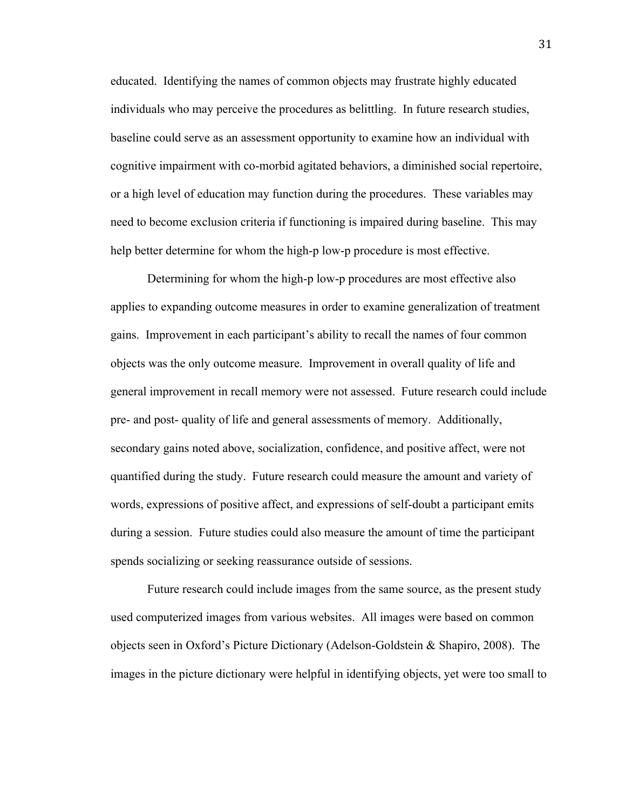educated. Identifying the names of common objects may frustrate highly educated individuals who may perceive the procedures as belittling. In future research studies, baseline could serve as an assessment opportunity to examine how an individual with cognitive impairment with co-morbid agitated behaviors, a diminished social repertoire, or a high level of education may function during the procedures. These variables may need to become exclusion criteria if functioning is impaired during baseline. This may help better determine for whom the high-p low-p procedure is most effective.

Determining for whom the high-p low-p procedures are most effective also applies to expanding outcome measures in order to examine generalization of treatment gains. Improvement in each participant's ability to recall the names of four common objects was the only outcome measure. Improvement in overall quality of life and general improvement in recall memory were not assessed. Future research could include pre- and post- quality of life and general assessments of memory. Additionally, secondary gains noted above, socialization, confidence, and positive affect, were not quantified during the study. Future research could measure the amount and variety of words, expressions of positive affect, and expressions of self-doubt a participant emits during a session. Future studies could also measure the amount of time the participant spends socializing or seeking reassurance outside of sessions.

Future research could include images from the same source, as the present study used computerized images from various websites. All images were based on common objects seen in Oxford's Picture Dictionary (Adelson-Goldstein & Shapiro, 2008). The images in the picture dictionary were helpful in identifying objects, yet were too small to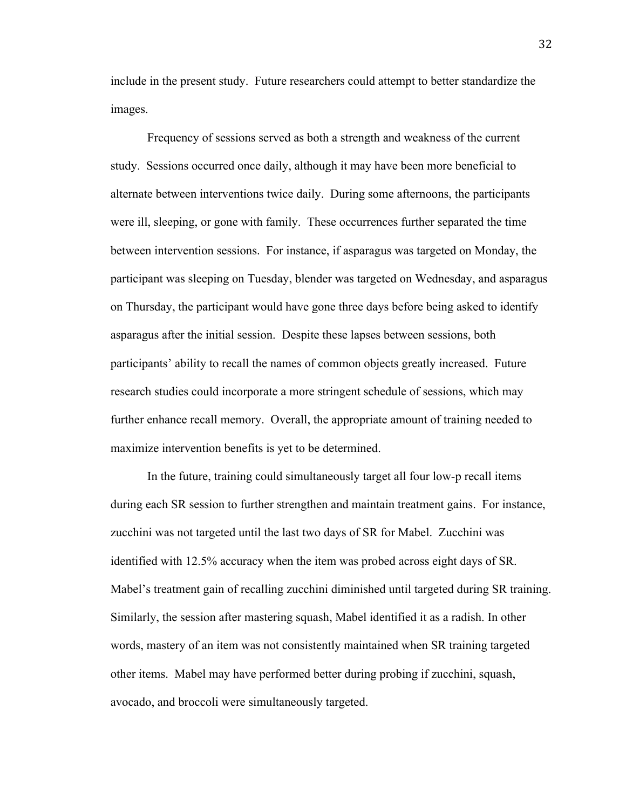include in the present study. Future researchers could attempt to better standardize the images.

Frequency of sessions served as both a strength and weakness of the current study. Sessions occurred once daily, although it may have been more beneficial to alternate between interventions twice daily. During some afternoons, the participants were ill, sleeping, or gone with family. These occurrences further separated the time between intervention sessions. For instance, if asparagus was targeted on Monday, the participant was sleeping on Tuesday, blender was targeted on Wednesday, and asparagus on Thursday, the participant would have gone three days before being asked to identify asparagus after the initial session. Despite these lapses between sessions, both participants' ability to recall the names of common objects greatly increased. Future research studies could incorporate a more stringent schedule of sessions, which may further enhance recall memory. Overall, the appropriate amount of training needed to maximize intervention benefits is yet to be determined.

In the future, training could simultaneously target all four low-p recall items during each SR session to further strengthen and maintain treatment gains. For instance, zucchini was not targeted until the last two days of SR for Mabel. Zucchini was identified with 12.5% accuracy when the item was probed across eight days of SR. Mabel's treatment gain of recalling zucchini diminished until targeted during SR training. Similarly, the session after mastering squash, Mabel identified it as a radish. In other words, mastery of an item was not consistently maintained when SR training targeted other items. Mabel may have performed better during probing if zucchini, squash, avocado, and broccoli were simultaneously targeted.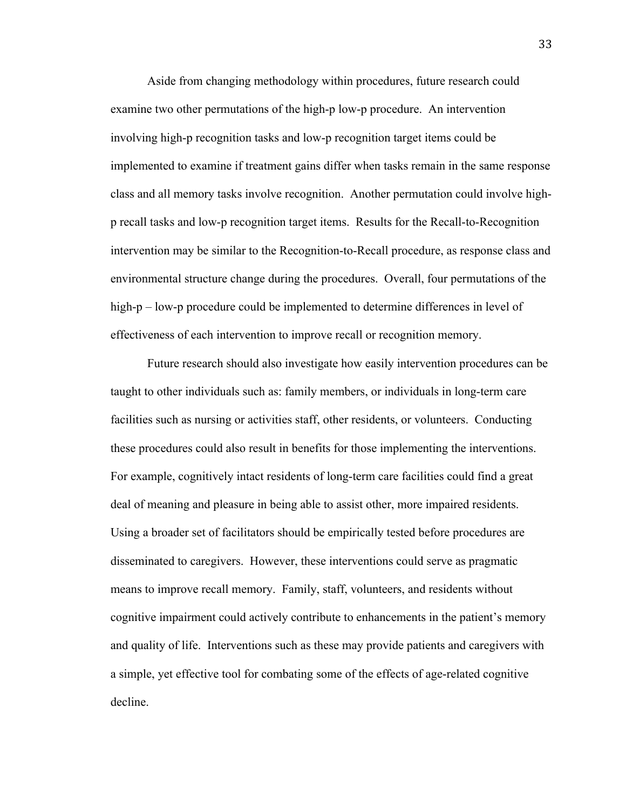Aside from changing methodology within procedures, future research could examine two other permutations of the high-p low-p procedure. An intervention involving high-p recognition tasks and low-p recognition target items could be implemented to examine if treatment gains differ when tasks remain in the same response class and all memory tasks involve recognition. Another permutation could involve highp recall tasks and low-p recognition target items. Results for the Recall-to-Recognition intervention may be similar to the Recognition-to-Recall procedure, as response class and environmental structure change during the procedures. Overall, four permutations of the high-p – low-p procedure could be implemented to determine differences in level of effectiveness of each intervention to improve recall or recognition memory.

Future research should also investigate how easily intervention procedures can be taught to other individuals such as: family members, or individuals in long-term care facilities such as nursing or activities staff, other residents, or volunteers. Conducting these procedures could also result in benefits for those implementing the interventions. For example, cognitively intact residents of long-term care facilities could find a great deal of meaning and pleasure in being able to assist other, more impaired residents. Using a broader set of facilitators should be empirically tested before procedures are disseminated to caregivers. However, these interventions could serve as pragmatic means to improve recall memory. Family, staff, volunteers, and residents without cognitive impairment could actively contribute to enhancements in the patient's memory and quality of life. Interventions such as these may provide patients and caregivers with a simple, yet effective tool for combating some of the effects of age-related cognitive decline.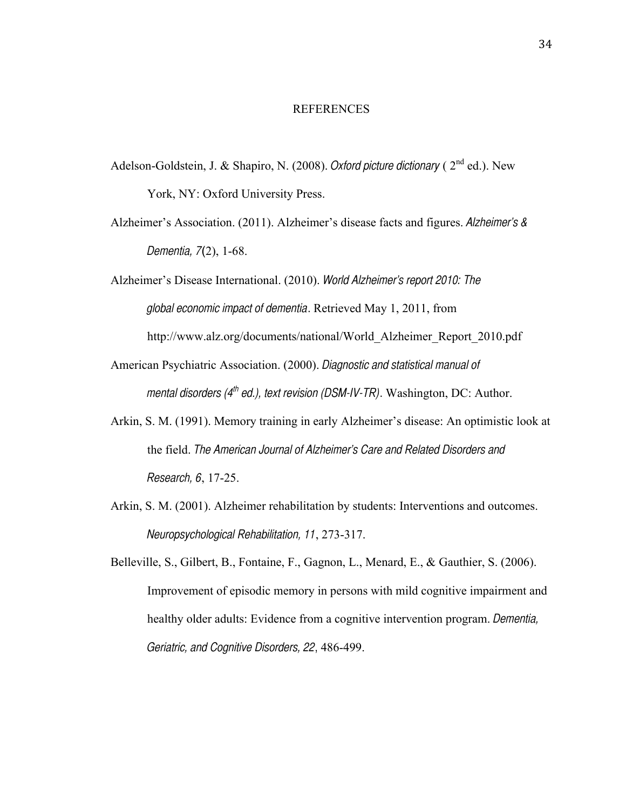#### REFERENCES

- Adelson-Goldstein, J. & Shapiro, N. (2008). *Oxford picture dictionary* (2<sup>nd</sup> ed.). New York, NY: Oxford University Press.
- Alzheimer's Association. (2011). Alzheimer's disease facts and figures. *Alzheimer's & Dementia, 7*(2), 1-68.
- Alzheimer's Disease International. (2010). *World Alzheimer's report 2010: The global economic impact of dementia*. Retrieved May 1, 2011, from http://www.alz.org/documents/national/World\_Alzheimer\_Report\_2010.pdf
- American Psychiatric Association. (2000). *Diagnostic and statistical manual of mental disorders (4 th ed.), text revision (DSM-IV-TR)*. Washington, DC: Author.
- Arkin, S. M. (1991). Memory training in early Alzheimer's disease: An optimistic look at the field. *The American Journal of Alzheimer's Care and Related Disorders and Research, 6*, 17-25.
- Arkin, S. M. (2001). Alzheimer rehabilitation by students: Interventions and outcomes. *Neuropsychological Rehabilitation, 11*, 273-317.
- Belleville, S., Gilbert, B., Fontaine, F., Gagnon, L., Menard, E., & Gauthier, S. (2006). Improvement of episodic memory in persons with mild cognitive impairment and healthy older adults: Evidence from a cognitive intervention program. *Dementia, Geriatric, and Cognitive Disorders, 22*, 486-499.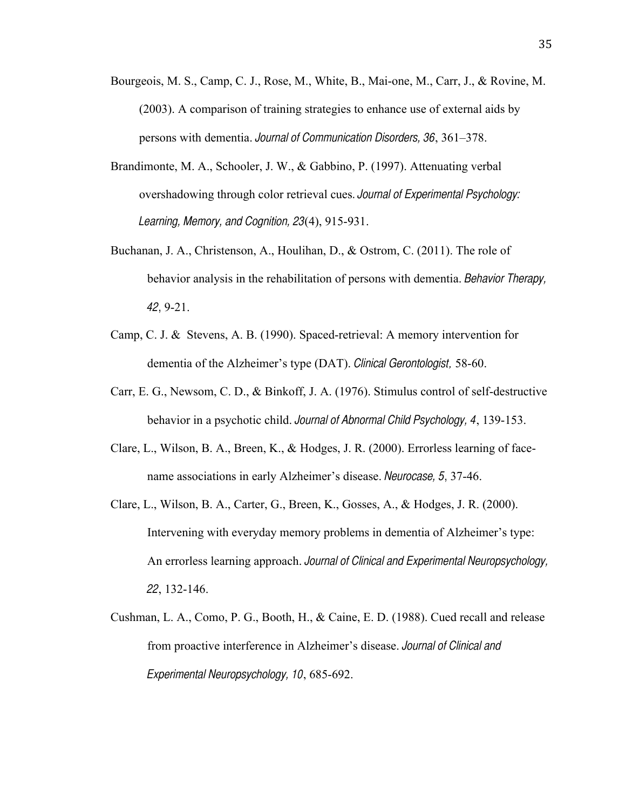- Bourgeois, M. S., Camp, C. J., Rose, M., White, B., Mai-one, M., Carr, J., & Rovine, M. (2003). A comparison of training strategies to enhance use of external aids by persons with dementia. *Journal of Communication Disorders, 36*, 361–378.
- Brandimonte, M. A., Schooler, J. W., & Gabbino, P. (1997). Attenuating verbal overshadowing through color retrieval cues. *Journal of Experimental Psychology: Learning, Memory, and Cognition, 23*(4), 915-931.
- Buchanan, J. A., Christenson, A., Houlihan, D., & Ostrom, C. (2011). The role of behavior analysis in the rehabilitation of persons with dementia. *Behavior Therapy, 42*, 9-21.
- Camp, C. J. & Stevens, A. B. (1990). Spaced-retrieval: A memory intervention for dementia of the Alzheimer's type (DAT). *Clinical Gerontologist,* 58-60.
- Carr, E. G., Newsom, C. D., & Binkoff, J. A. (1976). Stimulus control of self-destructive behavior in a psychotic child. *Journal of Abnormal Child Psychology, 4*, 139-153.
- Clare, L., Wilson, B. A., Breen, K., & Hodges, J. R. (2000). Errorless learning of facename associations in early Alzheimer's disease. *Neurocase, 5*, 37-46.
- Clare, L., Wilson, B. A., Carter, G., Breen, K., Gosses, A., & Hodges, J. R. (2000). Intervening with everyday memory problems in dementia of Alzheimer's type: An errorless learning approach. *Journal of Clinical and Experimental Neuropsychology, 22*, 132-146.
- Cushman, L. A., Como, P. G., Booth, H., & Caine, E. D. (1988). Cued recall and release from proactive interference in Alzheimer's disease. *Journal of Clinical and Experimental Neuropsychology, 10*, 685-692.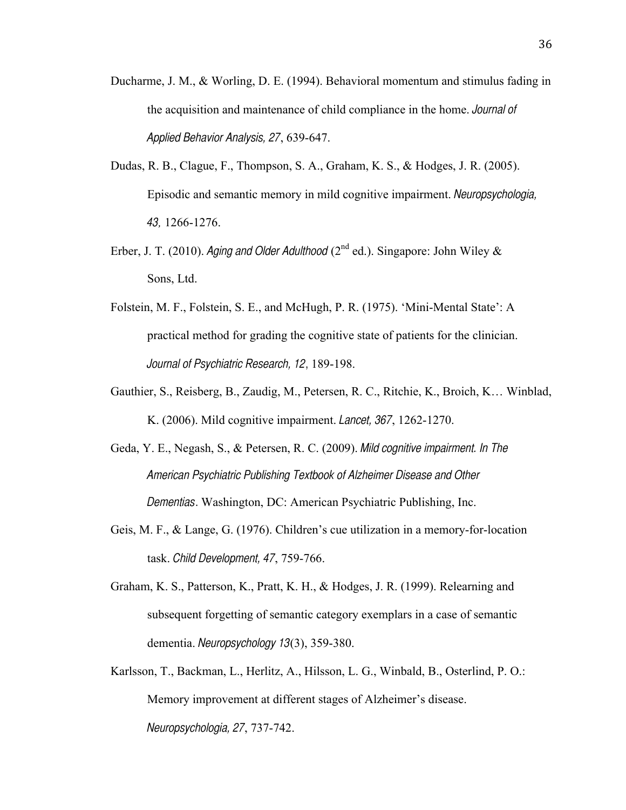- Ducharme, J. M., & Worling, D. E. (1994). Behavioral momentum and stimulus fading in the acquisition and maintenance of child compliance in the home. *Journal of Applied Behavior Analysis, 27*, 639-647.
- Dudas, R. B., Clague, F., Thompson, S. A., Graham, K. S., & Hodges, J. R. (2005). Episodic and semantic memory in mild cognitive impairment. *Neuropsychologia, 43,* 1266-1276.
- Erber, J. T. (2010). *Aging and Older Adulthood* ( $2<sup>nd</sup>$  ed.). Singapore: John Wiley & Sons, Ltd.
- Folstein, M. F., Folstein, S. E., and McHugh, P. R. (1975). 'Mini-Mental State': A practical method for grading the cognitive state of patients for the clinician. *Journal of Psychiatric Research, 12*, 189-198.
- Gauthier, S., Reisberg, B., Zaudig, M., Petersen, R. C., Ritchie, K., Broich, K… Winblad, K. (2006). Mild cognitive impairment. *Lancet, 367*, 1262-1270.
- Geda, Y. E., Negash, S., & Petersen, R. C. (2009). *Mild cognitive impairment. In The American Psychiatric Publishing Textbook of Alzheimer Disease and Other Dementias*. Washington, DC: American Psychiatric Publishing, Inc.
- Geis, M. F., & Lange, G. (1976). Children's cue utilization in a memory-for-location task. *Child Development, 47*, 759-766.
- Graham, K. S., Patterson, K., Pratt, K. H., & Hodges, J. R. (1999). Relearning and subsequent forgetting of semantic category exemplars in a case of semantic dementia. *Neuropsychology 13*(3), 359-380.
- Karlsson, T., Backman, L., Herlitz, A., Hilsson, L. G., Winbald, B., Osterlind, P. O.: Memory improvement at different stages of Alzheimer's disease. *Neuropsychologia, 27*, 737-742.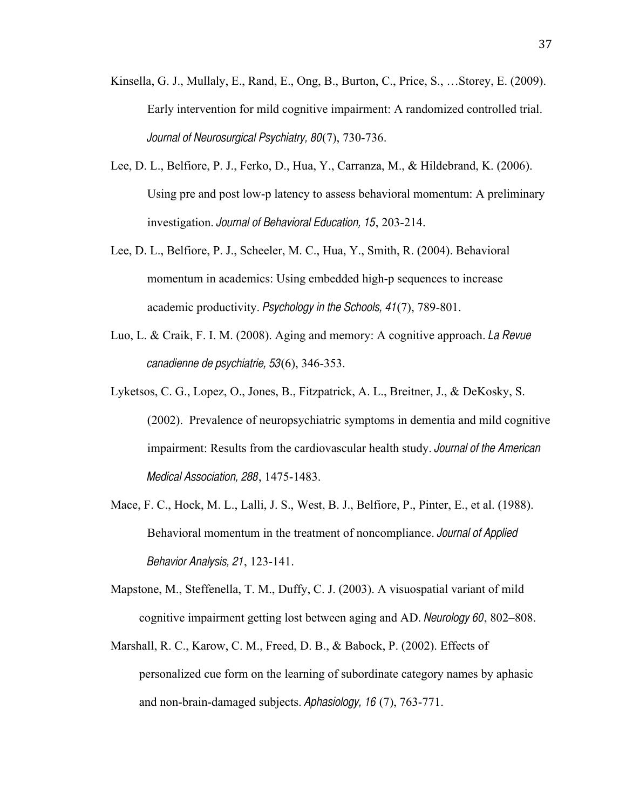- Kinsella, G. J., Mullaly, E., Rand, E., Ong, B., Burton, C., Price, S., …Storey, E. (2009). Early intervention for mild cognitive impairment: A randomized controlled trial. *Journal of Neurosurgical Psychiatry, 80*(7), 730-736.
- Lee, D. L., Belfiore, P. J., Ferko, D., Hua, Y., Carranza, M., & Hildebrand, K. (2006). Using pre and post low-p latency to assess behavioral momentum: A preliminary investigation. *Journal of Behavioral Education, 15*, 203-214.
- Lee, D. L., Belfiore, P. J., Scheeler, M. C., Hua, Y., Smith, R. (2004). Behavioral momentum in academics: Using embedded high-p sequences to increase academic productivity. *Psychology in the Schools, 41*(7), 789-801.
- Luo, L. & Craik, F. I. M. (2008). Aging and memory: A cognitive approach. *La Revue canadienne de psychiatrie, 53*(6), 346-353.
- Lyketsos, C. G., Lopez, O., Jones, B., Fitzpatrick, A. L., Breitner, J., & DeKosky, S. (2002). Prevalence of neuropsychiatric symptoms in dementia and mild cognitive impairment: Results from the cardiovascular health study. *Journal of the American Medical Association, 288*, 1475-1483.
- Mace, F. C., Hock, M. L., Lalli, J. S., West, B. J., Belfiore, P., Pinter, E., et al. (1988). Behavioral momentum in the treatment of noncompliance. *Journal of Applied Behavior Analysis, 21*, 123-141.
- Mapstone, M., Steffenella, T. M., Duffy, C. J. (2003). A visuospatial variant of mild cognitive impairment getting lost between aging and AD. *Neurology 60*, 802–808.
- Marshall, R. C., Karow, C. M., Freed, D. B., & Babock, P. (2002). Effects of personalized cue form on the learning of subordinate category names by aphasic and non-brain-damaged subjects. *Aphasiology, 16* (7), 763-771.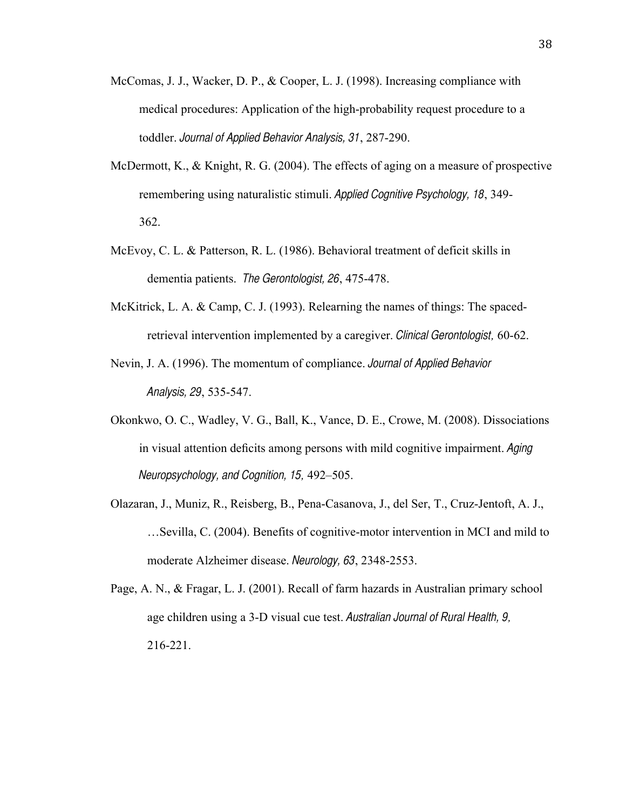- McComas, J. J., Wacker, D. P., & Cooper, L. J. (1998). Increasing compliance with medical procedures: Application of the high-probability request procedure to a toddler. *Journal of Applied Behavior Analysis, 31*, 287-290.
- McDermott, K., & Knight, R. G. (2004). The effects of aging on a measure of prospective remembering using naturalistic stimuli. *Applied Cognitive Psychology, 18*, 349- 362.
- McEvoy, C. L. & Patterson, R. L. (1986). Behavioral treatment of deficit skills in dementia patients. *The Gerontologist, 26*, 475-478.
- McKitrick, L. A. & Camp, C. J. (1993). Relearning the names of things: The spacedretrieval intervention implemented by a caregiver. *Clinical Gerontologist,* 60-62.
- Nevin, J. A. (1996). The momentum of compliance. *Journal of Applied Behavior Analysis, 29*, 535-547.
- Okonkwo, O. C., Wadley, V. G., Ball, K., Vance, D. E., Crowe, M. (2008). Dissociations in visual attention deficits among persons with mild cognitive impairment. *Aging Neuropsychology, and Cognition, 15,* 492–505.
- Olazaran, J., Muniz, R., Reisberg, B., Pena-Casanova, J., del Ser, T., Cruz-Jentoft, A. J., …Sevilla, C. (2004). Benefits of cognitive-motor intervention in MCI and mild to moderate Alzheimer disease. *Neurology, 63*, 2348-2553.
- Page, A. N., & Fragar, L. J. (2001). Recall of farm hazards in Australian primary school age children using a 3-D visual cue test. *Australian Journal of Rural Health, 9,* 216-221.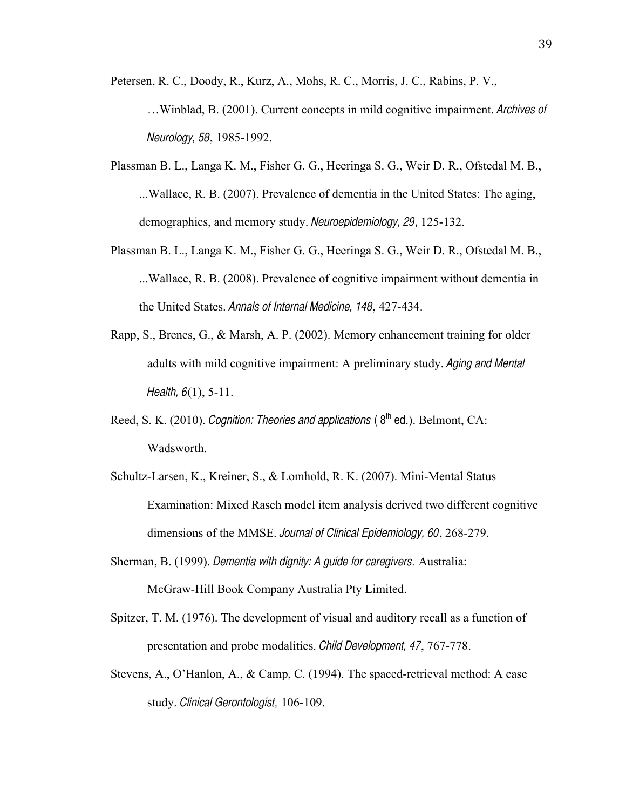Petersen, R. C., Doody, R., Kurz, A., Mohs, R. C., Morris, J. C., Rabins, P. V.,

- …Winblad, B. (2001). Current concepts in mild cognitive impairment. *Archives of Neurology, 58*, 1985-1992.
- Plassman B. L., Langa K. M., Fisher G. G., Heeringa S. G., Weir D. R., Ofstedal M. B., ...Wallace, R. B. (2007). Prevalence of dementia in the United States: The aging, demographics, and memory study. *Neuroepidemiology, 29*, 125-132.
- Plassman B. L., Langa K. M., Fisher G. G., Heeringa S. G., Weir D. R., Ofstedal M. B., ...Wallace, R. B. (2008). Prevalence of cognitive impairment without dementia in the United States. *Annals of Internal Medicine, 148*, 427-434.
- Rapp, S., Brenes, G., & Marsh, A. P. (2002). Memory enhancement training for older adults with mild cognitive impairment: A preliminary study. *Aging and Mental Health, 6*(1), 5-11.
- Reed, S. K. (2010). *Cognition: Theories and applications* (8<sup>th</sup> ed.). Belmont, CA: Wadsworth.
- Schultz-Larsen, K., Kreiner, S., & Lomhold, R. K. (2007). Mini-Mental Status Examination: Mixed Rasch model item analysis derived two different cognitive dimensions of the MMSE. *Journal of Clinical Epidemiology, 60*, 268-279.
- Sherman, B. (1999). *Dementia with dignity: A guide for caregivers.* Australia: McGraw-Hill Book Company Australia Pty Limited.
- Spitzer, T. M. (1976). The development of visual and auditory recall as a function of presentation and probe modalities. *Child Development, 47*, 767-778.
- Stevens, A., O'Hanlon, A., & Camp, C. (1994). The spaced-retrieval method: A case study. *Clinical Gerontologist,* 106-109.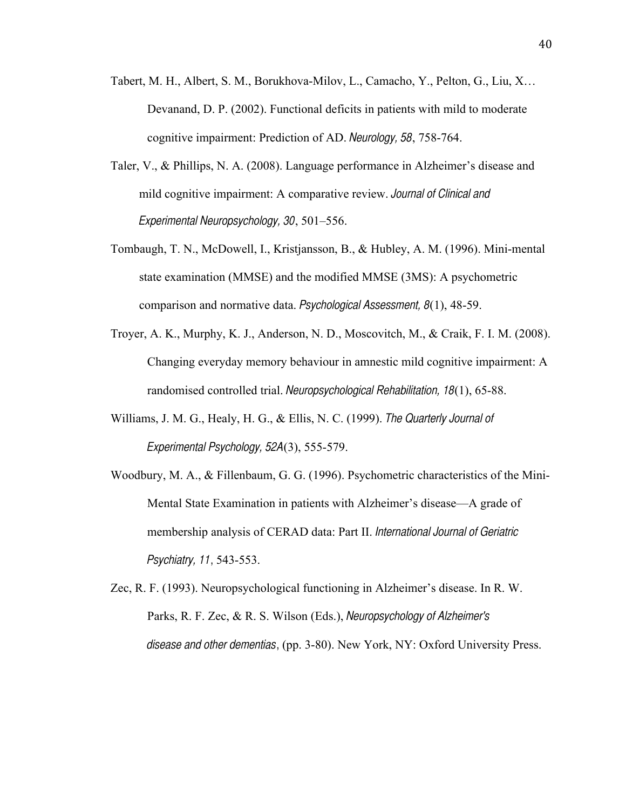- Tabert, M. H., Albert, S. M., Borukhova-Milov, L., Camacho, Y., Pelton, G., Liu, X… Devanand, D. P. (2002). Functional deficits in patients with mild to moderate cognitive impairment: Prediction of AD. *Neurology, 58*, 758-764.
- Taler, V., & Phillips, N. A. (2008). Language performance in Alzheimer's disease and mild cognitive impairment: A comparative review. *Journal of Clinical and Experimental Neuropsychology, 30*, 501–556.
- Tombaugh, T. N., McDowell, I., Kristjansson, B., & Hubley, A. M. (1996). Mini-mental state examination (MMSE) and the modified MMSE (3MS): A psychometric comparison and normative data. *Psychological Assessment, 8*(1), 48-59.
- Troyer, A. K., Murphy, K. J., Anderson, N. D., Moscovitch, M., & Craik, F. I. M. (2008). Changing everyday memory behaviour in amnestic mild cognitive impairment: A randomised controlled trial. *Neuropsychological Rehabilitation, 18*(1), 65-88.
- Williams, J. M. G., Healy, H. G., & Ellis, N. C. (1999). *The Quarterly Journal of Experimental Psychology, 52A*(3), 555-579.
- Woodbury, M. A., & Fillenbaum, G. G. (1996). Psychometric characteristics of the Mini-Mental State Examination in patients with Alzheimer's disease—A grade of membership analysis of CERAD data: Part II. *International Journal of Geriatric Psychiatry, 11*, 543-553.
- Zec, R. F. (1993). Neuropsychological functioning in Alzheimer's disease. In R. W. Parks, R. F. Zec, & R. S. Wilson (Eds.), *Neuropsychology of Alzheimer's disease and other dementias*, (pp. 3-80). New York, NY: Oxford University Press.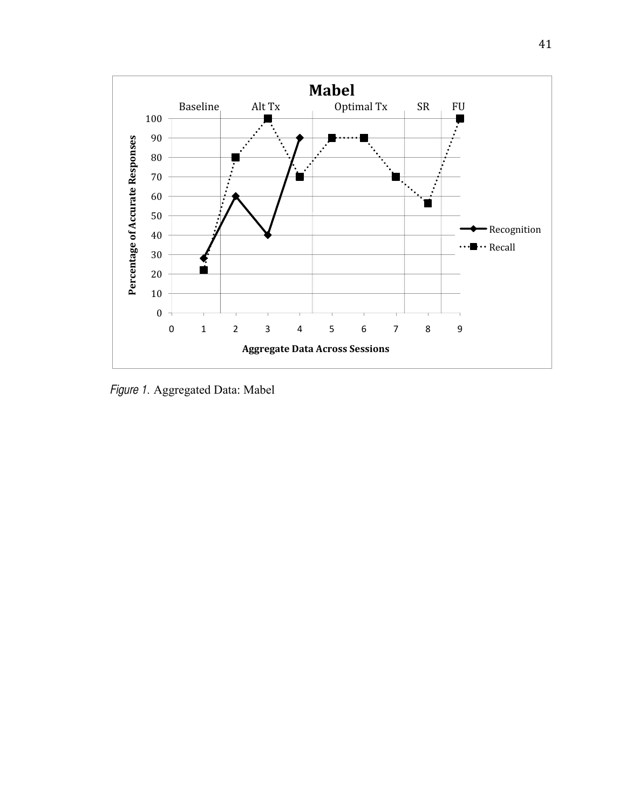

*Figure 1.* Aggregated Data: Mabel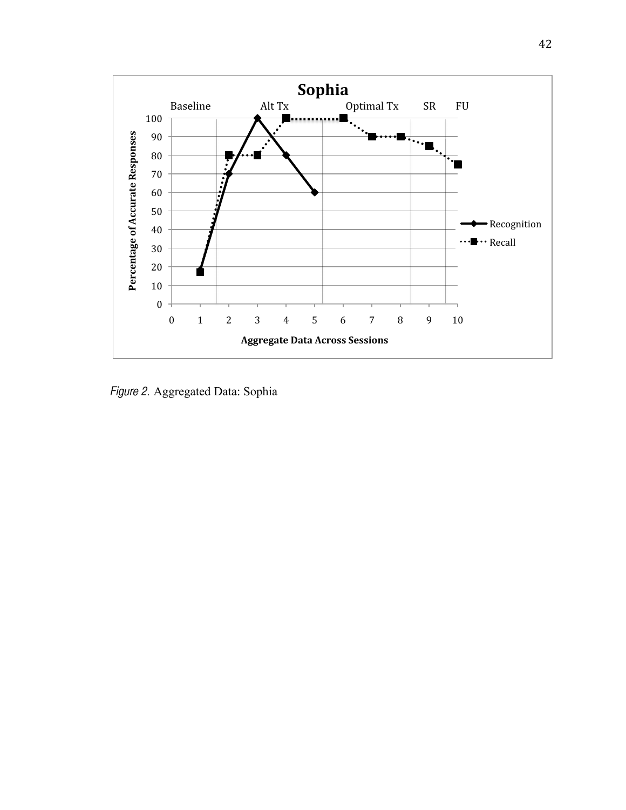

*Figure 2.* Aggregated Data: Sophia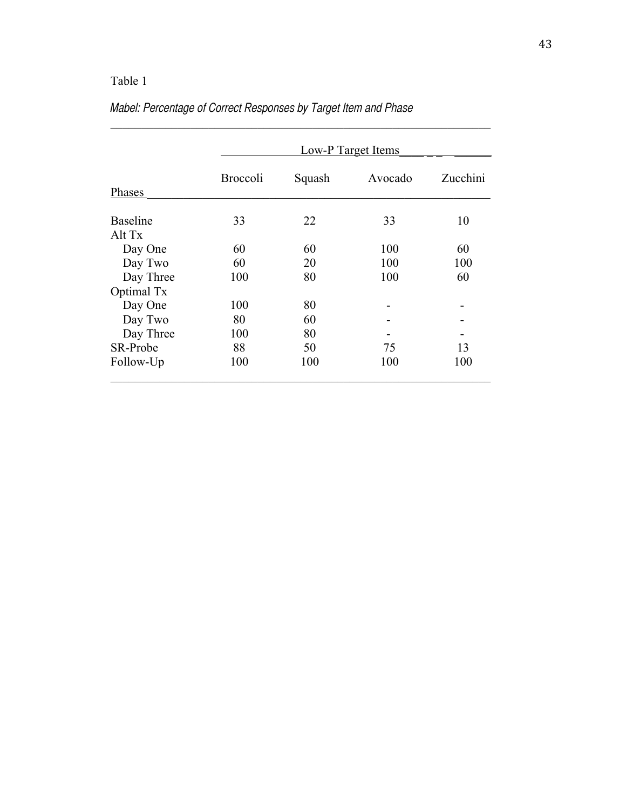|                           | Low-P Target Items |        |         |          |  |  |  |  |  |  |
|---------------------------|--------------------|--------|---------|----------|--|--|--|--|--|--|
| Phases                    | <b>Broccoli</b>    | Squash | Avocado | Zucchini |  |  |  |  |  |  |
| <b>Baseline</b><br>Alt Tx | 33                 | 22     | 33      | 10       |  |  |  |  |  |  |
| Day One                   | 60                 | 60     | 100     | 60       |  |  |  |  |  |  |
| Day Two                   | 60                 | 20     | 100     | 100      |  |  |  |  |  |  |
| Day Three                 | 100                | 80     | 100     | 60       |  |  |  |  |  |  |
| Optimal Tx                |                    |        |         |          |  |  |  |  |  |  |
| Day One                   | 100                | 80     |         |          |  |  |  |  |  |  |
| Day Two                   | 80                 | 60     |         |          |  |  |  |  |  |  |
| Day Three                 | 100                | 80     |         | -        |  |  |  |  |  |  |
| SR-Probe                  | 88                 | 50     | 75      | 13       |  |  |  |  |  |  |
| Follow-Up                 | 100                | 100    | 100     | 100      |  |  |  |  |  |  |

 $\mathcal{L}_\text{max}$  and the contract of the contract of the contract of the contract of the contract of the contract of

# *Mabel: Percentage of Correct Responses by Target Item and Phase*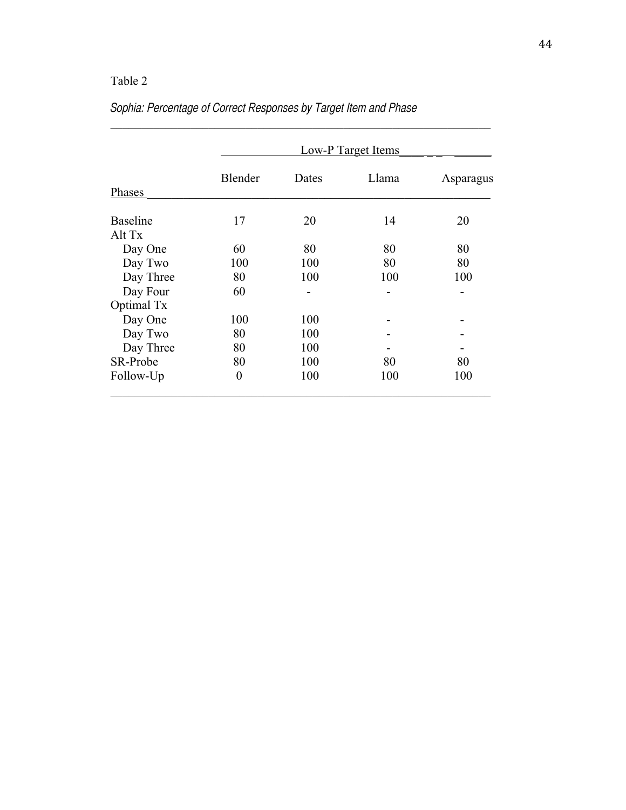|                           |          | Low-P Target Items |       |           |  |  |  |  |  |  |  |
|---------------------------|----------|--------------------|-------|-----------|--|--|--|--|--|--|--|
| Phases                    | Blender  | Dates              | Llama | Asparagus |  |  |  |  |  |  |  |
| <b>Baseline</b><br>Alt Tx | 17       | 20                 | 14    | 20        |  |  |  |  |  |  |  |
| Day One                   | 60       | 80                 | 80    | 80        |  |  |  |  |  |  |  |
| Day Two                   | 100      | 100                | 80    | 80        |  |  |  |  |  |  |  |
| Day Three                 | 80       | 100                | 100   | 100       |  |  |  |  |  |  |  |
| Day Four                  | 60       |                    |       |           |  |  |  |  |  |  |  |
| Optimal Tx                |          |                    |       |           |  |  |  |  |  |  |  |
| Day One                   | 100      | 100                |       |           |  |  |  |  |  |  |  |
| Day Two                   | 80       | 100                |       |           |  |  |  |  |  |  |  |
| Day Three                 | 80       | 100                |       |           |  |  |  |  |  |  |  |
| SR-Probe                  | 80       | 100                | 80    | 80        |  |  |  |  |  |  |  |
| Follow-Up                 | $\theta$ | 100                | 100   | 100       |  |  |  |  |  |  |  |

 $\mathcal{L}_\text{max}$  and the contract of the contract of the contract of the contract of the contract of the contract of

# *Sophia: Percentage of Correct Responses by Target Item and Phase*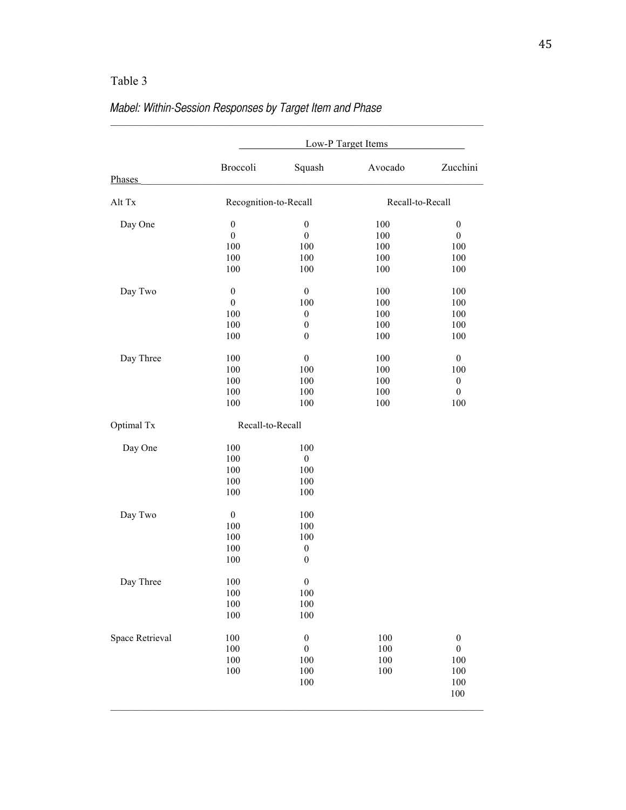|                 | Low-P Target Items                                        |                                                                        |                                        |                                                                               |  |  |  |  |  |  |
|-----------------|-----------------------------------------------------------|------------------------------------------------------------------------|----------------------------------------|-------------------------------------------------------------------------------|--|--|--|--|--|--|
| Phases          | Broccoli                                                  | Squash                                                                 | Avocado                                | Zucchini                                                                      |  |  |  |  |  |  |
| Alt Tx          | Recognition-to-Recall                                     |                                                                        | Recall-to-Recall                       |                                                                               |  |  |  |  |  |  |
| Day One         | $\boldsymbol{0}$<br>$\boldsymbol{0}$<br>100<br>100        | $\boldsymbol{0}$<br>$\boldsymbol{0}$<br>100<br>100                     | 100<br>100<br>100<br>100               | $\boldsymbol{0}$<br>$\boldsymbol{0}$<br>100<br>100                            |  |  |  |  |  |  |
| Day Two         | 100<br>$\boldsymbol{0}$<br>$\boldsymbol{0}$<br>100<br>100 | 100<br>$\boldsymbol{0}$<br>100<br>$\boldsymbol{0}$<br>$\boldsymbol{0}$ | 100<br>100<br>100<br>100<br>100        | 100<br>100<br>100<br>100<br>100                                               |  |  |  |  |  |  |
| Day Three       | 100<br>100<br>100<br>100<br>100<br>100                    | $\boldsymbol{0}$<br>$\boldsymbol{0}$<br>100<br>100<br>100<br>100       | 100<br>100<br>100<br>100<br>100<br>100 | 100<br>$\boldsymbol{0}$<br>100<br>$\boldsymbol{0}$<br>$\boldsymbol{0}$<br>100 |  |  |  |  |  |  |
| Optimal Tx      | Recall-to-Recall                                          |                                                                        |                                        |                                                                               |  |  |  |  |  |  |
| Day One         | 100<br>100<br>100<br>100<br>100                           | 100<br>$\boldsymbol{0}$<br>100<br>100<br>100                           |                                        |                                                                               |  |  |  |  |  |  |
| Day Two         | $\boldsymbol{0}$<br>100<br>100<br>100<br>100              | 100<br>100<br>100<br>$\boldsymbol{0}$<br>$\boldsymbol{0}$              |                                        |                                                                               |  |  |  |  |  |  |
| Day Three       | 100<br>100<br>$100\,$<br>100                              | $\boldsymbol{0}$<br>100<br>100<br>100                                  |                                        |                                                                               |  |  |  |  |  |  |
| Space Retrieval | 100<br>100<br>100<br>100                                  | $\boldsymbol{0}$<br>$\boldsymbol{0}$<br>100<br>100<br>100              | 100<br>100<br>100<br>100               | $\boldsymbol{0}$<br>$\boldsymbol{0}$<br>100<br>100<br>100<br>100              |  |  |  |  |  |  |

### *Mabel: Within-Session Responses by Target Item and Phase*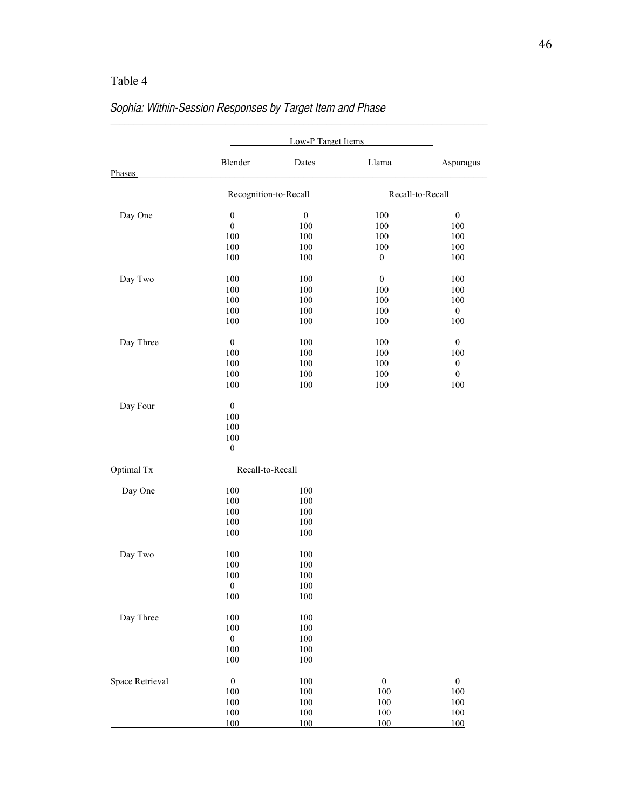|                 | Blender               | Dates            | Llama            | Asparagus        |
|-----------------|-----------------------|------------------|------------------|------------------|
| Phases          |                       |                  |                  |                  |
|                 | Recognition-to-Recall |                  |                  | Recall-to-Recall |
| Day One         | $\boldsymbol{0}$      | $\boldsymbol{0}$ | 100              | $\boldsymbol{0}$ |
|                 | $\boldsymbol{0}$      | 100              | 100              | 100              |
|                 | 100                   | 100              | 100              | 100              |
|                 | 100                   | 100              | 100              | 100              |
|                 | 100                   | 100              | $\boldsymbol{0}$ | 100              |
| Day Two         | 100                   | 100              | $\boldsymbol{0}$ | 100              |
|                 | 100                   | 100              | 100              | 100              |
|                 | 100                   | 100              | 100              | 100              |
|                 | 100                   | 100              | 100              | $\boldsymbol{0}$ |
|                 | 100                   | 100              | 100              | 100              |
| Day Three       | $\boldsymbol{0}$      | 100              | 100              | $\boldsymbol{0}$ |
|                 | 100                   | 100              | 100              | 100              |
|                 | 100                   | 100              | 100              | $\boldsymbol{0}$ |
|                 | 100                   | 100              | 100              | $\boldsymbol{0}$ |
|                 | 100                   | 100              | 100              | 100              |
| Day Four        | $\boldsymbol{0}$      |                  |                  |                  |
|                 | 100                   |                  |                  |                  |
|                 | 100                   |                  |                  |                  |
|                 | 100                   |                  |                  |                  |
|                 | $\boldsymbol{0}$      |                  |                  |                  |
| Optimal Tx      | Recall-to-Recall      |                  |                  |                  |
| Day One         | 100                   | 100              |                  |                  |
|                 | 100                   | 100              |                  |                  |
|                 | 100                   | 100              |                  |                  |
|                 | 100                   | 100              |                  |                  |
|                 | 100                   | 100              |                  |                  |
| Day Two         | 100                   | 100              |                  |                  |
|                 | 100                   | 100              |                  |                  |
|                 | 100                   | 100              |                  |                  |
|                 | $\mathbf{0}$          | 100              |                  |                  |
|                 | 100                   | $100\,$          |                  |                  |
| Day Three       | 100                   | 100              |                  |                  |
|                 | 100                   | 100              |                  |                  |
|                 | $\boldsymbol{0}$      | 100              |                  |                  |
|                 | 100                   | 100              |                  |                  |
|                 | 100                   | 100              |                  |                  |
| Space Retrieval | $\boldsymbol{0}$      | $100\,$          | $\boldsymbol{0}$ | $\boldsymbol{0}$ |
|                 | 100                   | 100              | 100              | $100\,$          |
|                 | $100\,$               | $100\,$          | 100              | $100\,$          |
|                 | 100                   | $100\,$          | $100\,$          | $100\,$          |
|                 | 100                   | 100              | 100              | 100              |

# *Sophia: Within-Session Responses by Target Item and Phase*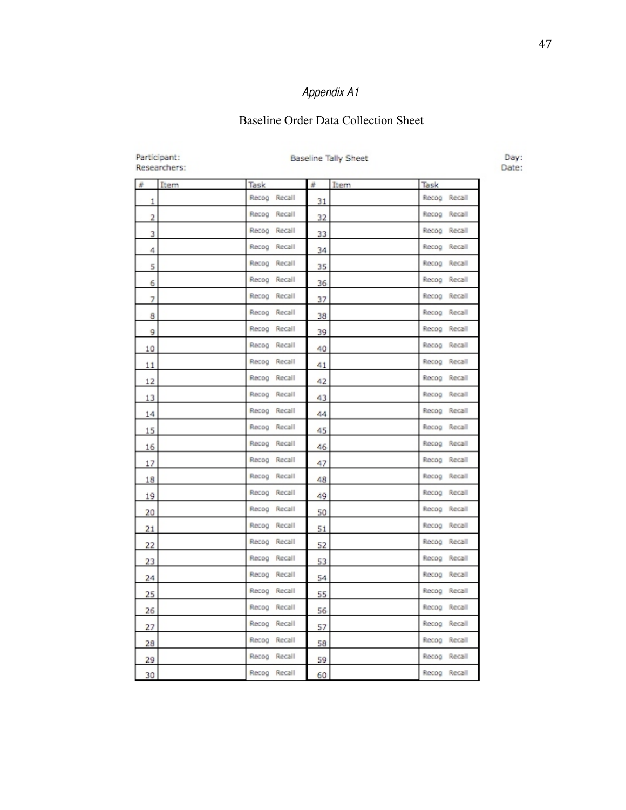### Baseline Order Data Collection Sheet

| Participant:<br>Researchers: |                 | <b>Baseline Tally Sheet</b> |      |                 |  |  |  |  |  |  |
|------------------------------|-----------------|-----------------------------|------|-----------------|--|--|--|--|--|--|
| #<br>Item                    | Task            | #                           | Item | Task            |  |  |  |  |  |  |
| 1                            | Recog Recall    | 31                          |      | Recog Recall    |  |  |  |  |  |  |
| 2                            | Recog Recall    | 32                          |      | Recog Recall    |  |  |  |  |  |  |
| 3                            | Recog Recall    | 33                          |      | Recog Recall    |  |  |  |  |  |  |
| 4                            | Recog Recall    | 34                          |      | Recog Recall    |  |  |  |  |  |  |
| 5                            | Recog Recall    | 35                          |      | Recog Recall    |  |  |  |  |  |  |
| 6                            | Recog Recall    | 36                          |      | Recog Recall    |  |  |  |  |  |  |
| 7                            | Recog Recall    | 37                          |      | Recog Recall    |  |  |  |  |  |  |
| 8                            | Recog<br>Recall | 38                          |      | Recog<br>Recall |  |  |  |  |  |  |
| 9                            | Recog Recall    | 39                          |      | Recog Recall    |  |  |  |  |  |  |
| 10                           | Recog Recall    | 40                          |      | Recog Recall    |  |  |  |  |  |  |
| 11                           | Recog Recall    | 41                          |      | Recog Recall    |  |  |  |  |  |  |
| 12                           | Rocog Recall    | 42                          |      | Recog Recall    |  |  |  |  |  |  |
| 13                           | Recog Recall    | 43                          |      | Recog Recall    |  |  |  |  |  |  |
| 14                           | Recog Recall    | 44                          |      | Recog Recall    |  |  |  |  |  |  |
| 15                           | Recog Recall    | 45                          |      | Recog Recall    |  |  |  |  |  |  |
| 16                           | Recog<br>Recall | 46                          |      | Recog<br>Recall |  |  |  |  |  |  |
| 17                           | Recog Recall    | 47                          |      | Recog Recall    |  |  |  |  |  |  |
| 18                           | Recog Recall    | 48                          |      | Recog Recall    |  |  |  |  |  |  |
| 19                           | Recog Recall    | 49                          |      | Recog Recall    |  |  |  |  |  |  |
| 20                           | Recog Recall    | 50                          |      | Recog Recall    |  |  |  |  |  |  |
| 21                           | Recog Recall    | 51                          |      | Recog Recall    |  |  |  |  |  |  |
| 22                           | Recog Recall    | 52                          |      | Recog Recall    |  |  |  |  |  |  |
| 23                           | Recog Recall    | 53                          |      | Recog Recall    |  |  |  |  |  |  |
| 24                           | Recog Recall    | 54                          |      | Recog Recall    |  |  |  |  |  |  |
| 25                           | Recog Recall    | 55                          |      | Recog Recall    |  |  |  |  |  |  |
| 26                           | Recog Recall    | 56                          |      | Recog Recall    |  |  |  |  |  |  |
| 27                           | Recall<br>Recog | 57                          |      | Recall<br>Recog |  |  |  |  |  |  |
| 28                           | Recog Recall    | 58                          |      | Recog Recall    |  |  |  |  |  |  |
| 29                           | Recog Recall    | 59                          |      | Recog Recall    |  |  |  |  |  |  |
| 30                           | Recog Recall    | 60                          |      | Recog Recall    |  |  |  |  |  |  |

Day:<br>Date: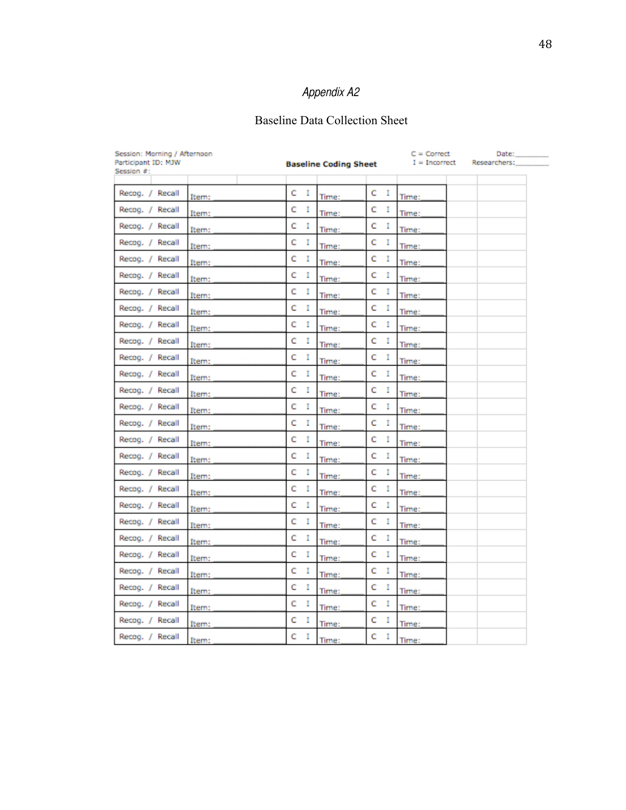### Baseline Data Collection Sheet

| Session: Morning / Afternoon<br>Participant ID: MJW<br>Session #: |       |         | <b>Baseline Coding Sheet</b> |         | $C = Correct$<br>$I = Incorrect$ | Date:<br>Researchers: |
|-------------------------------------------------------------------|-------|---------|------------------------------|---------|----------------------------------|-----------------------|
|                                                                   |       |         |                              |         |                                  |                       |
| Recog. / Recall                                                   | Item: | с<br>Ι. | Time:                        | с<br>л. | Time:                            |                       |
| Recog. / Recall                                                   | Item: | c<br>I  | Time:                        | c<br>Ι. | Time:                            |                       |
| Recog. / Recall                                                   | Item: | c<br>I  | Time:                        | c<br>Ι. | Time:                            |                       |
| Recog. / Recall                                                   | Item: | c<br>I  | Time:                        | с<br>Ι. | Time:                            |                       |
| Recog. / Recall                                                   | Item: | c<br>I  | Time:                        | c<br>I  | Time:                            |                       |
| Recog. / Recall                                                   | Item: | c<br>I  | Time:                        | c<br>Ι. | Time:                            |                       |
| Recog. / Recall                                                   | Item: | c<br>I  | Time:                        | c<br>L  | Time:                            |                       |
| Recog. / Recall                                                   | Item: | c<br>I  | Time:                        | c<br>Ι. | Time:                            |                       |
| Recog. / Recall                                                   | Item: | c<br>I  | Time:                        | c<br>I  | Time:                            |                       |
| Recog. / Recall                                                   | Item: | c<br>I  | Time:                        | c<br>I  | Time:                            |                       |
| Recog. / Recall                                                   | Item: | c<br>I  | Time:                        | c<br>I. | Time:                            |                       |
| Recog. / Recall                                                   | Item: | c<br>I  | Time:                        | c<br>I  | Time:                            |                       |
| Recog. / Recall                                                   | Item: | c<br>I  | Time:                        | c<br>I  | Time:                            |                       |
| Recog. / Recall                                                   | Item: | c<br>I  | Time:                        | c<br>I  | Time:                            |                       |
| Recog. / Recall                                                   | Item: | c<br>I  | Time:                        | c<br>r  | Time:                            |                       |
| Recog. / Recall                                                   | Item: | c<br>I  | Time:                        | c<br>Ι. | Time:                            |                       |
| Recog. / Recall                                                   | Item: | c<br>I  | Time:                        | c<br>I  | Time:                            |                       |
| Recog. / Recall                                                   | Item: | c<br>I  | Time:                        | c<br>I  | Time:                            |                       |
| Recog. / Recall                                                   | Item: | c<br>I  | Time:                        | с<br>Ι. | Time:                            |                       |
| Recog. / Recall                                                   | Item: | c<br>г  | Time:                        | c<br>Ι. | Time:                            |                       |
| Recog. / Recall                                                   | Item: | c<br>I  | Time:                        | с<br>Ι. | Time:                            |                       |
| Recog. / Recall                                                   | Item: | c<br>I  | Time:                        | c<br>г  | Time:                            |                       |
| Recog. / Recall                                                   | Item: | c<br>I  | Time:                        | c<br>I. | Time:                            |                       |
| Recog. / Recall                                                   | Item: | c<br>I  | Time:                        | с<br>Ι. | Time:                            |                       |
| Recog. / Recall                                                   | Item: | c<br>I  | Time:                        | с<br>Ι. | Time:                            |                       |
| Recog. / Recall                                                   | Item: | c<br>I  | Time:                        | c<br>I. | Time:                            |                       |
| Recog. / Recall                                                   | Item: | c<br>I  | Time:                        | c<br>r  | Time:                            |                       |
| Recog. / Recall                                                   | Item: | c<br>I  | Time:                        | c<br>I  | Time:                            |                       |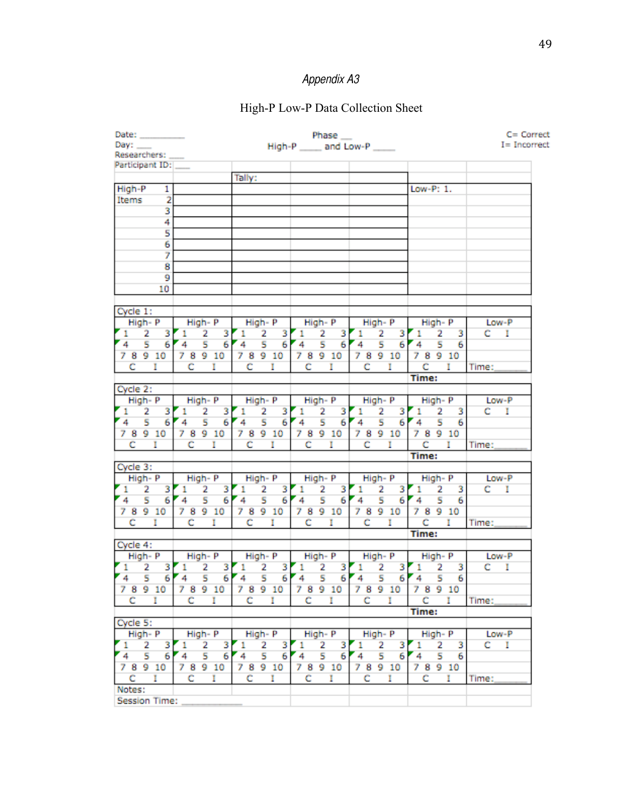### High-P Low-P Data Collection Sheet

| Date: _________      |                          |                |         |                     |                     |         |              |                     | Phase __     |   |                                 |         |             |                     |         |             |         | C= Correct      |
|----------------------|--------------------------|----------------|---------|---------------------|---------------------|---------|--------------|---------------------|--------------|---|---------------------------------|---------|-------------|---------------------|---------|-------------|---------|-----------------|
| Day:                 |                          |                |         |                     |                     |         |              |                     |              |   | High-P _____ and Low-P ____     |         |             |                     |         |             |         | $I = Incorrect$ |
| Researchers:         |                          |                |         |                     |                     |         |              |                     |              |   |                                 |         |             |                     |         |             |         |                 |
| Participant ID:      |                          |                |         |                     |                     |         |              |                     |              |   |                                 |         |             |                     |         |             |         |                 |
|                      |                          |                |         |                     | Tally:              |         |              |                     |              |   |                                 |         |             |                     |         |             |         |                 |
| High-P               | $\mathbf{1}$             |                |         |                     |                     |         |              |                     |              |   |                                 |         |             | Low-P: 1.           |         |             |         |                 |
| Items                | $\overline{2}$           |                |         |                     |                     |         |              |                     |              |   |                                 |         |             |                     |         |             |         |                 |
|                      |                          |                |         |                     |                     |         |              |                     |              |   |                                 |         |             |                     |         |             |         |                 |
|                      | 3                        |                |         |                     |                     |         |              |                     |              |   |                                 |         |             |                     |         |             |         |                 |
|                      | 4                        |                |         |                     |                     |         |              |                     |              |   |                                 |         |             |                     |         |             |         |                 |
|                      | 5                        |                |         |                     |                     |         |              |                     |              |   |                                 |         |             |                     |         |             |         |                 |
|                      | 6                        |                |         |                     |                     |         |              |                     |              |   |                                 |         |             |                     |         |             |         |                 |
|                      | 7                        |                |         |                     |                     |         |              |                     |              |   |                                 |         |             |                     |         |             |         |                 |
|                      | 8                        |                |         |                     |                     |         |              |                     |              |   |                                 |         |             |                     |         |             |         |                 |
|                      | 9                        |                |         |                     |                     |         |              |                     |              |   |                                 |         |             |                     |         |             |         |                 |
|                      | 10                       |                |         |                     |                     |         |              |                     |              |   |                                 |         |             |                     |         |             |         |                 |
|                      |                          |                |         |                     |                     |         |              |                     |              |   |                                 |         |             |                     |         |             |         |                 |
| Cycle 1:             |                          |                |         |                     |                     |         |              |                     |              |   |                                 |         |             |                     |         |             |         |                 |
| High-P               |                          | High- P        |         |                     | High- P             |         |              | High- P             |              |   | High- P                         |         |             | High- P             |         |             | Low-P   |                 |
| 2<br>$\mathbf{1}$    | $\overline{\phantom{a}}$ | $\mathbf{1}$   |         | $2 \quad 3$         | $\mathbf{1}$        |         | $2 \quad 3$  | $1 \quad 2 \quad 3$ |              |   | $\mathbf{I}$                    |         | $2 \quad 3$ | $1 \quad 2 \quad 3$ |         |             | $C-I$   |                 |
| 4.                   | $5 -$<br>6               | 4 <sub>5</sub> |         |                     | 6'4'5               |         |              | 6'4'5               |              |   | $6'4$ 5                         |         |             | 67456               |         |             |         |                 |
|                      |                          |                |         |                     | 78910               |         |              |                     |              |   |                                 |         |             | 78910               |         |             |         |                 |
| 78910                |                          | 78910          |         |                     |                     |         |              | 78910               |              |   | 78910                           |         |             |                     |         |             |         |                 |
| $C = I$              |                          | c              |         | $\mathbf{I}$        | c                   |         | $\mathbf{I}$ | c.                  | $\mathbf{I}$ |   |                                 | $C = I$ |             |                     | $C = I$ |             | Time:   |                 |
|                      |                          |                |         |                     |                     |         |              |                     |              |   |                                 |         |             | Time:               |         |             |         |                 |
| Cycle 2:             |                          |                |         |                     |                     |         |              |                     |              |   |                                 |         |             |                     |         |             |         |                 |
| High-P               |                          |                |         | High- P             |                     |         | High-P       | High- P             |              |   |                                 |         |             | High-P High-P       |         |             |         | Low-P           |
| $1 \quad 2 \quad 3$  |                          |                |         | $1 \quad 2 \quad 3$ | $1 \quad 2 \quad 3$ |         |              |                     |              |   | 1 2 3 1 2 3 1 2 3               |         |             |                     |         |             | $C-I$   |                 |
| $4 \quad 5$          |                          |                |         |                     |                     |         |              |                     |              |   | 6 4 5 6 4 5 6 4 5 6 4 5 6 4 5 6 |         |             |                     |         |             |         |                 |
| 78910                |                          |                |         | 78910               | 78910               |         |              | 78910               |              |   | 78910 78910                     |         |             |                     |         |             |         |                 |
| $C = I$              |                          |                | $C = I$ |                     |                     | $C = I$ |              |                     | $C = I$      |   |                                 | $C = I$ |             | $C = I$             |         |             | Time:   |                 |
|                      |                          |                |         |                     |                     |         |              |                     |              |   |                                 |         |             | <b>Time:</b>        |         |             |         |                 |
| Cycle 3:             |                          |                |         |                     |                     |         |              |                     |              |   |                                 |         |             |                     |         |             |         |                 |
| High-P               |                          |                |         | High- P             |                     |         | High- P      | High- P             |              |   |                                 |         | High- P     | High- P             |         |             | Low-P   |                 |
| $1 \quad 2$          | 3                        | $\mathbf{L}$   | 2       |                     | $3 \times 1$        |         |              | $2 \quad 3 \quad 1$ |              |   | $2 \quad 3 \quad 1$             |         | $2 \quad 3$ | <b>F</b> 1          |         | $2 \quad 3$ | $C = I$ |                 |
| 4 <sub>5</sub>       | 6                        | $4 -$          | 5       | 6                   | 4 <sub>5</sub>      |         | 6            | 4 <sub>5</sub>      |              |   | $6'4$ 5                         |         |             | $6'4$ 5             |         | - 6         |         |                 |
| 78910                |                          | 78910          |         |                     | 78910               |         |              | 78910               |              |   |                                 |         |             | 78910 78910         |         |             |         |                 |
|                      |                          |                |         |                     |                     |         |              |                     |              |   |                                 |         |             |                     |         |             |         |                 |
| C I                  |                          |                | $C = I$ |                     |                     | $C = I$ |              |                     | $C = I$      |   |                                 |         | $C = I$     |                     |         | $C = I$     | Time:   |                 |
|                      |                          |                |         |                     |                     |         |              |                     |              |   |                                 |         |             | Time:               |         |             |         |                 |
| Cycle 4:             |                          |                |         |                     |                     |         |              |                     |              |   |                                 |         |             |                     |         |             |         |                 |
| High-P               |                          | High- P        |         |                     |                     |         | High- P      |                     | High- P      |   | High- P                         |         |             | High- P             |         |             |         | Low-P           |
| $1 \quad 2$          | 3                        | $\mathbf{1}$   | 2       | 3                   | $1\quad 2$          |         | 3            | $1 \quad 2$         |              | 3 | $\mathbf{1}$                    | 2       | 3           | $1 \quad 2$         |         | 3           | $C-I$   |                 |
| $4 \quad 5$          |                          | $6'4$ 5        |         |                     | $6'4$ 5             |         |              | $6'4$ 5             |              |   | $6'4$ 5                         |         |             | $6'4$ 5             |         | 6           |         |                 |
| 78910                |                          |                |         | 78910               | 78910               |         |              | 78910               |              |   | 7 8 9 10                        |         |             | 78910               |         |             |         |                 |
| c<br>- 1             |                          | с              |         | п                   | c.                  |         | п            | c.                  |              | 1 | C.                              |         | H           |                     | C I     |             | Time:   |                 |
|                      |                          |                |         |                     |                     |         |              |                     |              |   |                                 |         |             | Time:               |         |             |         |                 |
| Cycle 5:             |                          |                |         |                     |                     |         |              |                     |              |   |                                 |         |             |                     |         |             |         |                 |
| High-P               |                          |                |         | High-P              |                     |         | High-P       |                     | High-P       |   |                                 |         | High- P     |                     | High- P |             |         | Low-P           |
| 2<br>1.              | з                        | 1.             | 2       | з                   | 1.                  | 2       | з            | 1.                  | 2            | 3 | 1.                              | 2       | 3           | $\mathbf{1}$        |         | 2 3         |         | $C-I$           |
| 5<br>4               | 6                        | 4 <sup>1</sup> | 5.      | 6                   | 4 <sub>5</sub>      |         | 6            | 4 <sup>1</sup>      | 5            | 6 | 4 <sub>5</sub>                  |         |             |                     |         | 6           |         |                 |
|                      |                          | 78910          |         |                     | 78910               |         |              |                     |              |   |                                 |         | 6           | 4 <sub>5</sub>      |         |             |         |                 |
| 7 8 9 10             |                          |                |         |                     |                     |         |              | 7 8 9 10            |              |   | 78910                           |         |             | 78910               |         |             |         |                 |
| c.                   | $\mathbf{I}$             | с              |         | п                   | с                   |         | т.           | c                   |              | L | c                               |         | п           | c                   |         | T.          | Time:   |                 |
| Notes:               |                          |                |         |                     |                     |         |              |                     |              |   |                                 |         |             |                     |         |             |         |                 |
| <b>Session Time:</b> |                          |                |         |                     |                     |         |              |                     |              |   |                                 |         |             |                     |         |             |         |                 |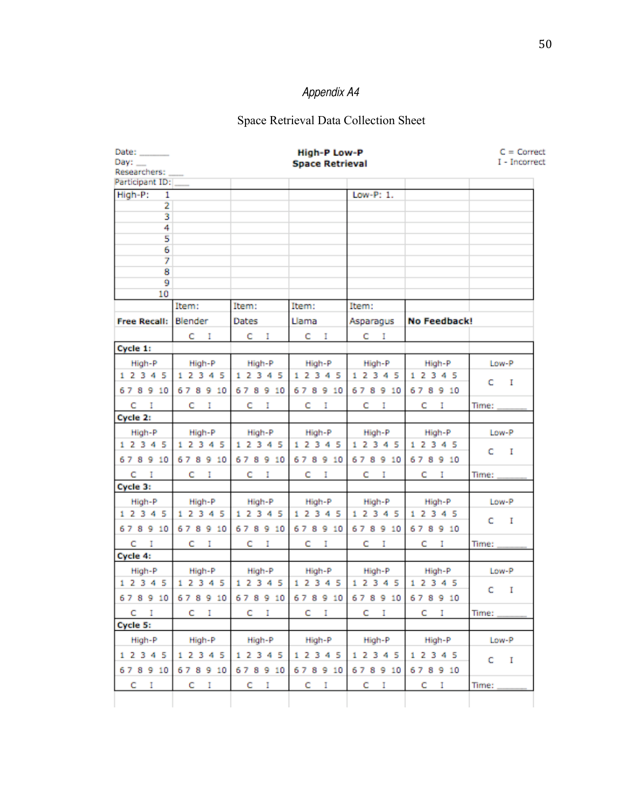# Space Retrieval Data Collection Sheet

| Date: $\qquad \qquad$<br>Day: $\_\_$ |           |                                           | <b>High-P Low-P</b>    |           |              | $C =$ Correct<br>I - Incorrect |
|--------------------------------------|-----------|-------------------------------------------|------------------------|-----------|--------------|--------------------------------|
| Researchers:                         |           |                                           | <b>Space Retrieval</b> |           |              |                                |
| Participant ID:                      |           |                                           |                        |           |              |                                |
| High-P:<br>1                         |           |                                           |                        | Low-P: 1. |              |                                |
| $\overline{\mathbf{z}}$              |           |                                           |                        |           |              |                                |
| 3<br>4                               |           |                                           |                        |           |              |                                |
| 5                                    |           |                                           |                        |           |              |                                |
| 6                                    |           |                                           |                        |           |              |                                |
| 7                                    |           |                                           |                        |           |              |                                |
| 8                                    |           |                                           |                        |           |              |                                |
| 9                                    |           |                                           |                        |           |              |                                |
| 10                                   |           |                                           |                        |           |              |                                |
|                                      | Item:     | Item:                                     | Item:                  | Item:     |              |                                |
| Free Recall: Blender                 |           | Dates                                     | Llama                  | Asparagus | No Feedback! |                                |
|                                      | C I       | C I                                       | C I                    | $C = I$   |              |                                |
| Cycle 1:                             |           |                                           |                        |           |              |                                |
| High-P                               | High-P    | High-P                                    | High-P                 | High-P    | High-P       | Low-P                          |
| 1 2 3 4 5                            | 1 2 3 4 5 | 1 2 3 4 5                                 | 1 2 3 4 5              | 1 2 3 4 5 | 1 2 3 4 5    |                                |
| 678910                               | 678910    | 678910                                    | 678910                 | 678910    | 678910       | C I                            |
| C I                                  | C I       | C I                                       | C I                    | C I       | C I          | Time:                          |
| Cycle 2:                             |           |                                           |                        |           |              |                                |
| High-P                               | High-P    | High-P                                    | High-P                 | High-P    | High-P       | Low-P                          |
| 1 2 3 4 5                            | 1 2 3 4 5 | 12345                                     | 1 2 3 4 5              | 1 2 3 4 5 | 1 2 3 4 5    |                                |
| 678910                               | 678910    | 678910                                    | 678910                 | 678910    | 678910       | C I                            |
| C I                                  | C I       | C I                                       | C I                    | C I       | C I          | Time:                          |
| Cycle 3:                             |           |                                           |                        |           |              |                                |
| High-P                               | High-P    | High-P                                    | High-P                 | High-P    | High-P       | Low-P                          |
| 1 2 3 4 5                            | 1 2 3 4 5 | 1 2 3 4 5                                 | 1 2 3 4 5              | 1 2 3 4 5 | 1 2 3 4 5    |                                |
| 678910                               | 678910    | 678910                                    | 678910                 | 678910    | 678910       | $C = I$                        |
| C I                                  | C I       | CI.                                       | C I                    | C I       | C I          | Time:                          |
| Cycle 4:                             |           |                                           |                        |           |              |                                |
| High-P                               | High-P    | High-P                                    | High-P                 | High-P    | High-P       | Low-P                          |
| 1 2 3 4 5                            | 1 2 3 4 5 | 1 2 3 4 5                                 | 1 2 3 4 5              | 1 2 3 4 5 | 1 2 3 4 5    |                                |
|                                      |           | 678910 678910 678910 678910 678910 678910 |                        |           |              | I<br>c                         |
| C I                                  | $C = I$   | C I                                       | C I                    | $C = I$   | C I          | Time:                          |
| Cycle 5:                             |           |                                           |                        |           |              |                                |
| High-P                               | High-P    | High-P                                    | High-P                 | High-P    | High-P       | Low-P                          |
| 1 2 3 4 5                            | 1 2 3 4 5 | 1 2 3 4 5                                 | 1 2 3 4 5              | 1 2 3 4 5 | 1 2 3 4 5    | C I                            |
| 678910                               | 678910    | 678910                                    | 678910                 | 678910    | 678910       |                                |
| $C = I$                              | $C = I$   | C I                                       | $C = I$                | $C = I$   | C I          | Time:                          |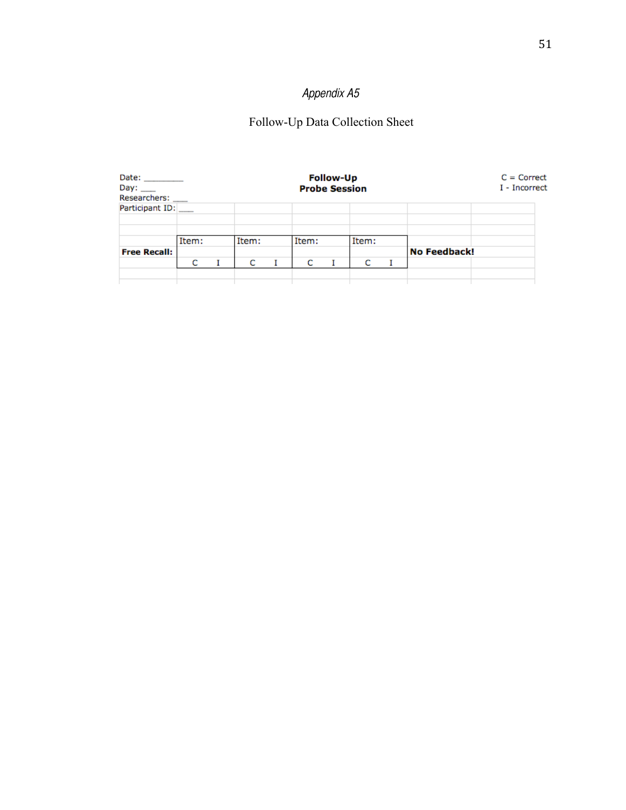### Follow-Up Data Collection Sheet

| Date: _________<br>Day: ____<br>Researchers: |       |       | <b>Probe Session</b> | <b>Follow-Up</b> |       |              | $C = Correct$<br>I - Incorrect |
|----------------------------------------------|-------|-------|----------------------|------------------|-------|--------------|--------------------------------|
| Participant ID:                              |       |       |                      |                  |       |              |                                |
|                                              | Item: | Item: | Item:                |                  | Item: |              |                                |
| <b>Free Recall:</b>                          |       |       |                      |                  |       | No Feedback! |                                |
|                                              | C     | c     | с                    |                  | с     |              |                                |
|                                              |       |       |                      |                  |       |              |                                |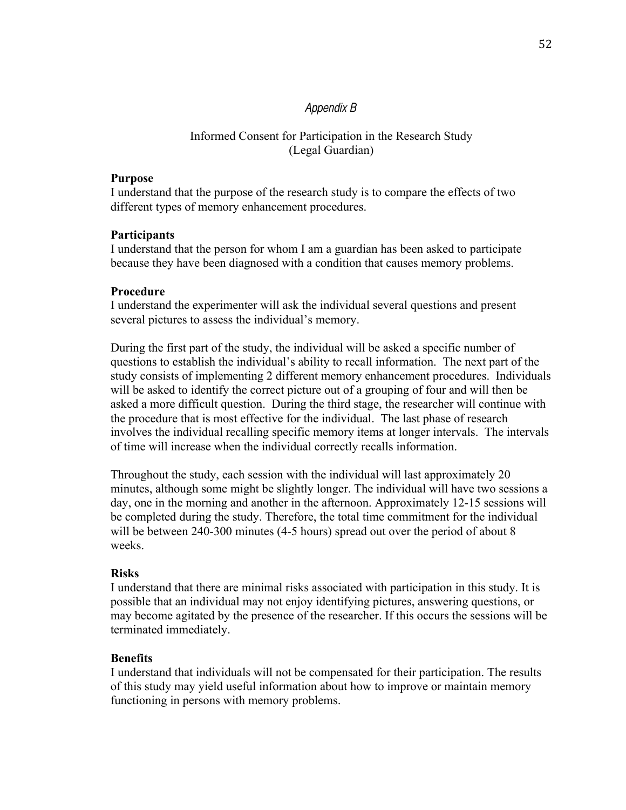### *Appendix B*

### Informed Consent for Participation in the Research Study (Legal Guardian)

#### **Purpose**

I understand that the purpose of the research study is to compare the effects of two different types of memory enhancement procedures.

#### **Participants**

I understand that the person for whom I am a guardian has been asked to participate because they have been diagnosed with a condition that causes memory problems.

#### **Procedure**

I understand the experimenter will ask the individual several questions and present several pictures to assess the individual's memory.

During the first part of the study, the individual will be asked a specific number of questions to establish the individual's ability to recall information. The next part of the study consists of implementing 2 different memory enhancement procedures. Individuals will be asked to identify the correct picture out of a grouping of four and will then be asked a more difficult question. During the third stage, the researcher will continue with the procedure that is most effective for the individual. The last phase of research involves the individual recalling specific memory items at longer intervals. The intervals of time will increase when the individual correctly recalls information.

Throughout the study, each session with the individual will last approximately 20 minutes, although some might be slightly longer. The individual will have two sessions a day, one in the morning and another in the afternoon. Approximately 12-15 sessions will be completed during the study. Therefore, the total time commitment for the individual will be between 240-300 minutes (4-5 hours) spread out over the period of about 8 weeks.

#### **Risks**

I understand that there are minimal risks associated with participation in this study. It is possible that an individual may not enjoy identifying pictures, answering questions, or may become agitated by the presence of the researcher. If this occurs the sessions will be terminated immediately.

### **Benefits**

I understand that individuals will not be compensated for their participation. The results of this study may yield useful information about how to improve or maintain memory functioning in persons with memory problems.